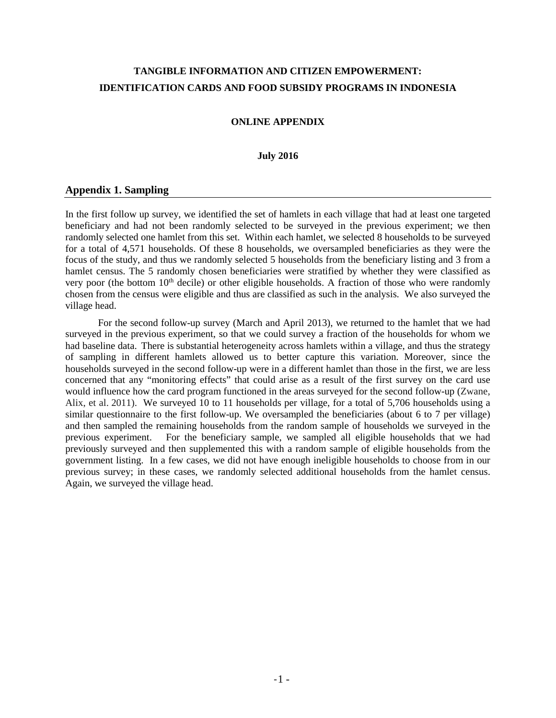# **TANGIBLE INFORMATION AND CITIZEN EMPOWERMENT: IDENTIFICATION CARDS AND FOOD SUBSIDY PROGRAMS IN INDONESIA**

### **ONLINE APPENDIX**

#### **July 2016**

### **Appendix 1. Sampling**

In the first follow up survey, we identified the set of hamlets in each village that had at least one targeted beneficiary and had not been randomly selected to be surveyed in the previous experiment; we then randomly selected one hamlet from this set. Within each hamlet, we selected 8 households to be surveyed for a total of 4,571 households. Of these 8 households, we oversampled beneficiaries as they were the focus of the study, and thus we randomly selected 5 households from the beneficiary listing and 3 from a hamlet census. The 5 randomly chosen beneficiaries were stratified by whether they were classified as very poor (the bottom  $10<sup>th</sup>$  decile) or other eligible households. A fraction of those who were randomly chosen from the census were eligible and thus are classified as such in the analysis. We also surveyed the village head.

For the second follow-up survey (March and April 2013), we returned to the hamlet that we had surveyed in the previous experiment, so that we could survey a fraction of the households for whom we had baseline data. There is substantial heterogeneity across hamlets within a village, and thus the strategy of sampling in different hamlets allowed us to better capture this variation. Moreover, since the households surveyed in the second follow-up were in a different hamlet than those in the first, we are less concerned that any "monitoring effects" that could arise as a result of the first survey on the card use would influence how the card program functioned in the areas surveyed for the second follow-up (Zwane, Alix, et al. 2011). We surveyed 10 to 11 households per village, for a total of 5,706 households using a similar questionnaire to the first follow-up. We oversampled the beneficiaries (about 6 to 7 per village) and then sampled the remaining households from the random sample of households we surveyed in the previous experiment. For the beneficiary sample, we sampled all eligible households that we had previously surveyed and then supplemented this with a random sample of eligible households from the government listing. In a few cases, we did not have enough ineligible households to choose from in our previous survey; in these cases, we randomly selected additional households from the hamlet census. Again, we surveyed the village head.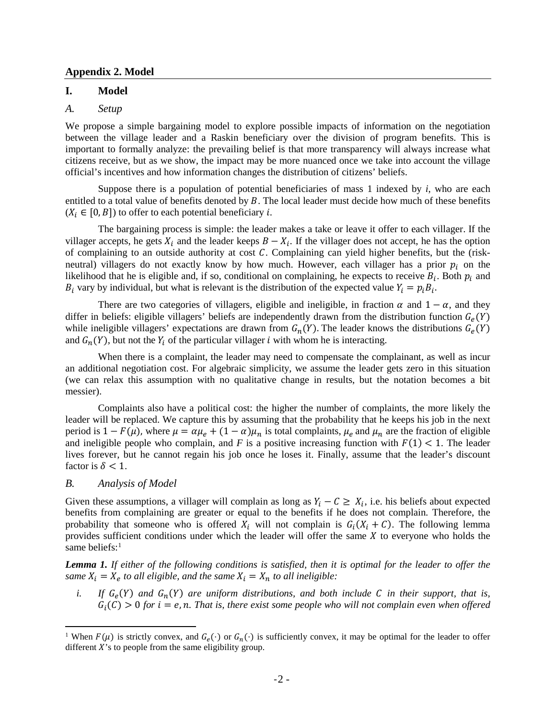#### **Appendix 2. Model**

### **I. Model**

### *A. Setup*

We propose a simple bargaining model to explore possible impacts of information on the negotiation between the village leader and a Raskin beneficiary over the division of program benefits. This is important to formally analyze: the prevailing belief is that more transparency will always increase what citizens receive, but as we show, the impact may be more nuanced once we take into account the village official's incentives and how information changes the distribution of citizens' beliefs.

Suppose there is a population of potential beneficiaries of mass 1 indexed by *i*, who are each entitled to a total value of benefits denoted by  $B$ . The local leader must decide how much of these benefits  $(X_i \in [0, B])$  to offer to each potential beneficiary *i*.

The bargaining process is simple: the leader makes a take or leave it offer to each villager. If the villager accepts, he gets  $X_i$  and the leader keeps  $B - X_i$ . If the villager does not accept, he has the option of complaining to an outside authority at cost  $C$ . Complaining can yield higher benefits, but the (riskneutral) villagers do not exactly know by how much. However, each villager has a prior  $p_i$  on the likelihood that he is eligible and, if so, conditional on complaining, he expects to receive  $B_i$ . Both  $p_i$  and  $B_i$  vary by individual, but what is relevant is the distribution of the expected value  $Y_i = p_i B_i$ .

There are two categories of villagers, eligible and ineligible, in fraction  $\alpha$  and  $1 - \alpha$ , and they differ in beliefs: eligible villagers' beliefs are independently drawn from the distribution function  $G_e(Y)$ while ineligible villagers' expectations are drawn from  $G_n(Y)$ . The leader knows the distributions  $G_e(Y)$ and  $G_n(Y)$ , but not the  $Y_i$  of the particular villager *i* with whom he is interacting.

When there is a complaint, the leader may need to compensate the complainant, as well as incur an additional negotiation cost. For algebraic simplicity, we assume the leader gets zero in this situation (we can relax this assumption with no qualitative change in results, but the notation becomes a bit messier).

Complaints also have a political cost: the higher the number of complaints, the more likely the leader will be replaced. We capture this by assuming that the probability that he keeps his job in the next period is  $1 - F(\mu)$ , where  $\mu = \alpha \mu_e + (1 - \alpha) \mu_n$  is total complaints,  $\mu_e$  and  $\mu_n$  are the fraction of eligible and ineligible people who complain, and  $F$  is a positive increasing function with  $F(1) < 1$ . The leader lives forever, but he cannot regain his job once he loses it. Finally, assume that the leader's discount factor is  $\delta$  < 1.

### *B. Analysis of Model*

l

Given these assumptions, a villager will complain as long as  $Y_i - C \geq X_i$ , i.e. his beliefs about expected benefits from complaining are greater or equal to the benefits if he does not complain*.* Therefore, the probability that someone who is offered  $X_i$  will not complain is  $G_i(X_i + C)$ . The following lemma provides sufficient conditions under which the leader will offer the same  $X$  to everyone who holds the same beliefs:<sup>[1](#page-1-0)</sup>

Lemma 1. If either of the following conditions is satisfied, then it is optimal for the leader to offer the *same*  $X_i = X_e$  *to all eligible, and the same*  $X_i = X_n$  *to all ineligible:* 

*i.* If  $G_e(Y)$  and  $G_n(Y)$  are uniform distributions, and both include C in their support, that is,  $G_i(\mathcal{C}) > 0$  for  $i = e, n$ . That is, there exist some people who will not complain even when offered

<span id="page-1-0"></span><sup>&</sup>lt;sup>1</sup> When  $F(\mu)$  is strictly convex, and  $G_e(\cdot)$  or  $G_n(\cdot)$  is sufficiently convex, it may be optimal for the leader to offer different  $X$ 's to people from the same eligibility group.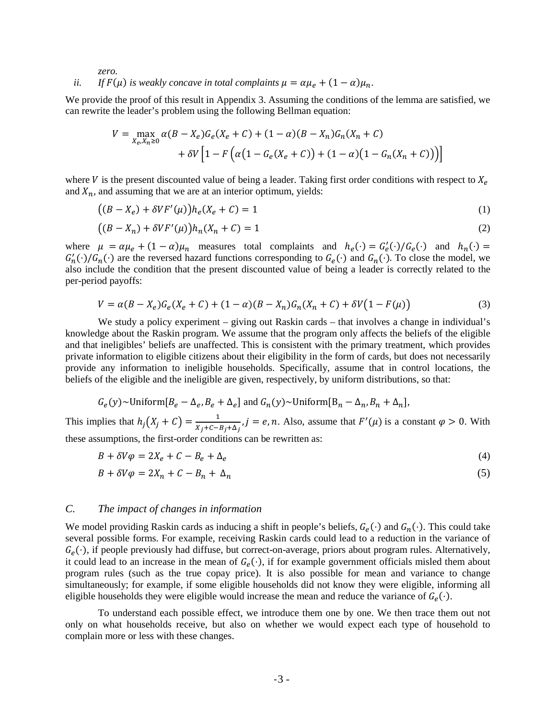*zero.*

## *ii. If*  $F(\mu)$  *is weakly concave in total complaints*  $\mu = \alpha \mu_e + (1 - \alpha) \mu_n$ .

We provide the proof of this result in Appendix 3. Assuming the conditions of the lemma are satisfied, we can rewrite the leader's problem using the following Bellman equation:

$$
V = \max_{X_e, X_n \ge 0} \alpha (B - X_e) G_e(X_e + C) + (1 - \alpha)(B - X_n) G_n(X_n + C)
$$
  
+ 
$$
\delta V \left[ 1 - F \left( \alpha (1 - G_e(X_e + C)) + (1 - \alpha)(1 - G_n(X_n + C)) \right) \right]
$$

where V is the present discounted value of being a leader. Taking first order conditions with respect to  $X_e$ and  $X_n$ , and assuming that we are at an interior optimum, yields:

$$
((B - Xe) + \delta V F'(\mu))he(Xe + C) = 1
$$
\n(1)

$$
((B - Xn) + \delta V F'(\mu))h_n(X_n + C) = 1
$$
\n(2)

where  $\mu = \alpha \mu_e + (1 - \alpha) \mu_n$  measures total complaints and  $h_e(\cdot) = G'_e(\cdot) / G_e(\cdot)$  and  $h_n(\cdot) =$  $G'_n(\cdot)/G_n(\cdot)$  are the reversed hazard functions corresponding to  $G_e(\cdot)$  and  $G_n(\cdot)$ . To close the model, we also include the condition that the present discounted value of being a leader is correctly related to the per-period payoffs:

$$
V = \alpha (B - X_e) G_e (X_e + C) + (1 - \alpha) (B - X_n) G_n (X_n + C) + \delta V (1 - F(\mu))
$$
\n(3)

We study a policy experiment – giving out Raskin cards – that involves a change in individual's knowledge about the Raskin program. We assume that the program only affects the beliefs of the eligible and that ineligibles' beliefs are unaffected. This is consistent with the primary treatment, which provides private information to eligible citizens about their eligibility in the form of cards, but does not necessarily provide any information to ineligible households. Specifically, assume that in control locations, the beliefs of the eligible and the ineligible are given, respectively, by uniform distributions, so that:

$$
G_e(y)
$$
~Uniform $[B_e - \Delta_e, B_e + \Delta_e]$  and  $G_n(y)$ ~Uniform $[B_n - \Delta_n, B_n + \Delta_n]$ ,

This implies that  $h_j(X_j + C) = \frac{1}{X_j + C - B_j + \Delta_j}$ ,  $j = e, n$ . Also, assume that  $F'(\mu)$  is a constant  $\varphi > 0$ . With these assumptions, the first-order conditions can be rewritten as:

$$
B + \delta V \varphi = 2X_e + C - B_e + \Delta_e \tag{4}
$$

$$
B + \delta V \varphi = 2X_n + C - B_n + \Delta_n \tag{5}
$$

#### *C. The impact of changes in information*

We model providing Raskin cards as inducing a shift in people's beliefs,  $G_e(\cdot)$  and  $G_n(\cdot)$ . This could take several possible forms. For example, receiving Raskin cards could lead to a reduction in the variance of  $G_e(\cdot)$ , if people previously had diffuse, but correct-on-average, priors about program rules. Alternatively, it could lead to an increase in the mean of  $G_e(\cdot)$ , if for example government officials misled them about program rules (such as the true copay price). It is also possible for mean and variance to change simultaneously; for example, if some eligible households did not know they were eligible, informing all eligible households they were eligible would increase the mean and reduce the variance of  $G_e(\cdot)$ .

To understand each possible effect, we introduce them one by one. We then trace them out not only on what households receive, but also on whether we would expect each type of household to complain more or less with these changes.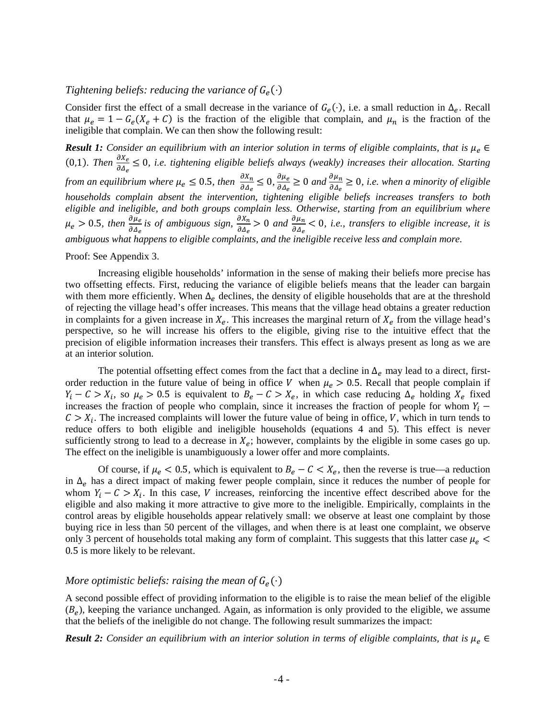#### *Tightening beliefs: reducing the variance of*  $G_e(\cdot)$

Consider first the effect of a small decrease in the variance of  $G_e(\cdot)$ , i.e. a small reduction in  $\Delta_e$ . Recall that  $\mu_e = 1 - G_e(X_e + C)$  is the fraction of the eligible that complain, and  $\mu_n$  is the fraction of the ineligible that complain. We can then show the following result:

**Result 1:** Consider an equilibrium with an interior solution in terms of eligible complaints, that is  $\mu_e \in$ (0,1). Then  $\frac{\partial X_e}{\partial \Delta_e} \leq 0$ , *i.e. tightening eligible beliefs always (weakly) increases their allocation. Starting from an equilibrium where*  $\mu_e \leq 0.5$ , then  $\frac{\partial X_n}{\partial \Delta_e} \leq 0$ ,  $\frac{\partial \mu_e}{\partial \Delta_e}$  $\frac{\partial \mu_e}{\partial \Delta_e} \ge 0$  and  $\frac{\partial \mu_n}{\partial \Delta_e} \ge 0$ , *i.e.* when a minority of eligible *households complain absent the intervention, tightening eligible beliefs increases transfers to both eligible and ineligible, and both groups complain less. Otherwise, starting from an equilibrium where*   $\mu_e > 0.5$ , then  $\frac{\partial \mu_e}{\partial \Delta_e}$  is of ambiguous sign,  $\frac{\partial X_n}{\partial \Delta_e} > 0$  and  $\frac{\partial \mu_n}{\partial \Delta_e} < 0$ , i.e., transfers to eligible increase, it is *ambiguous what happens to eligible complaints, and the ineligible receive less and complain more.*

Proof: See Appendix 3.

Increasing eligible households' information in the sense of making their beliefs more precise has two offsetting effects. First, reducing the variance of eligible beliefs means that the leader can bargain with them more efficiently. When  $\Delta_e$  declines, the density of eligible households that are at the threshold of rejecting the village head's offer increases. This means that the village head obtains a greater reduction in complaints for a given increase in  $X_e$ . This increases the marginal return of  $X_e$  from the village head's perspective, so he will increase his offers to the eligible, giving rise to the intuitive effect that the precision of eligible information increases their transfers. This effect is always present as long as we are at an interior solution.

The potential offsetting effect comes from the fact that a decline in  $\Delta_e$  may lead to a direct, firstorder reduction in the future value of being in office V when  $\mu_e > 0.5$ . Recall that people complain if  $Y_i - C > X_i$ , so  $\mu_e > 0.5$  is equivalent to  $B_e - C > X_e$ , in which case reducing  $\Delta_e$  holding  $X_e$  fixed increases the fraction of people who complain, since it increases the fraction of people for whom  $Y_i$  –  $C > X_i$ . The increased complaints will lower the future value of being in office, V, which in turn tends to reduce offers to both eligible and ineligible households (equations 4 and 5). This effect is never sufficiently strong to lead to a decrease in  $X_e$ ; however, complaints by the eligible in some cases go up. The effect on the ineligible is unambiguously a lower offer and more complaints.

Of course, if  $\mu_e < 0.5$ , which is equivalent to  $B_e - C < X_e$ , then the reverse is true—a reduction in  $\Delta_e$  has a direct impact of making fewer people complain, since it reduces the number of people for whom  $Y_i - C > X_i$ . In this case, *V* increases, reinforcing the incentive effect described above for the eligible and also making it more attractive to give more to the ineligible. Empirically, complaints in the control areas by eligible households appear relatively small: we observe at least one complaint by those buying rice in less than 50 percent of the villages, and when there is at least one complaint, we observe only 3 percent of households total making any form of complaint. This suggests that this latter case  $\mu_e$  < 0.5 is more likely to be relevant.

### *More optimistic beliefs: raising the mean of*  $G_e(\cdot)$

A second possible effect of providing information to the eligible is to raise the mean belief of the eligible  $(B_e)$ , keeping the variance unchanged. Again, as information is only provided to the eligible, we assume that the beliefs of the ineligible do not change. The following result summarizes the impact:

**Result 2:** *Consider an equilibrium with an interior solution in terms of eligible complaints, that is*  $\mu_e$   $\in$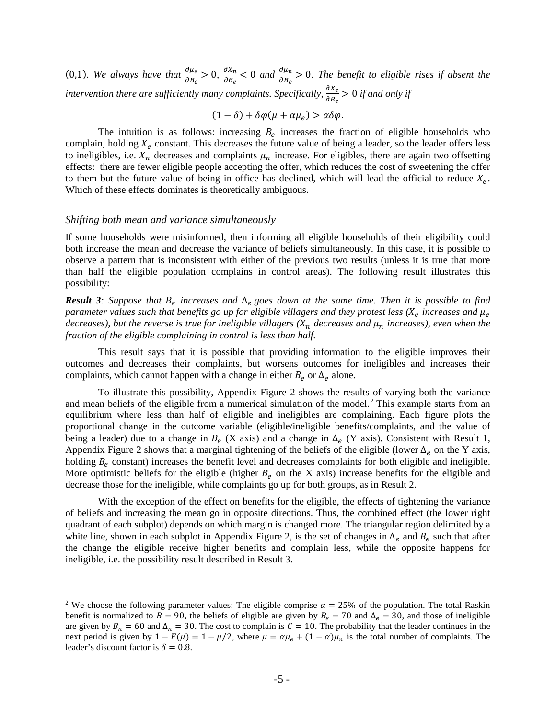(0,1). We always have that  $\frac{\partial \mu_e}{\partial B_e} > 0$ ,  $\frac{\partial X_n}{\partial B_e} < 0$  and  $\frac{\partial \mu_n}{\partial B_e} > 0$ . The benefit to eligible rises if absent the intervention there are sufficiently many complaints. Specifically,  $\frac{\partial X_e}{\partial B_e} > 0$  if and only if

$$
(1 - \delta) + \delta \varphi(\mu + \alpha \mu_e) > \alpha \delta \varphi.
$$

The intuition is as follows: increasing  $B_e$  increases the fraction of eligible households who complain, holding  $X_e$  constant. This decreases the future value of being a leader, so the leader offers less to ineligibles, i.e.  $X_n$  decreases and complaints  $\mu_n$  increase. For eligibles, there are again two offsetting effects: there are fewer eligible people accepting the offer, which reduces the cost of sweetening the offer to them but the future value of being in office has declined, which will lead the official to reduce  $X_e$ . Which of these effects dominates is theoretically ambiguous.

#### *Shifting both mean and variance simultaneously*

l

If some households were misinformed, then informing all eligible households of their eligibility could both increase the mean and decrease the variance of beliefs simultaneously. In this case, it is possible to observe a pattern that is inconsistent with either of the previous two results (unless it is true that more than half the eligible population complains in control areas). The following result illustrates this possibility:

**Result 3***:* Suppose that  $B_e$  increases and  $\Delta_e$  goes down at the same time. Then it is possible to find *parameter values such that benefits go up for eligible villagers and they protest less (* $X_e$  *increases and*  $\mu_e$ *decreases), but the reverse is true for ineligible villagers*  $(X_n)$  *decreases and*  $\mu_n$  *increases), even when the fraction of the eligible complaining in control is less than half.* 

This result says that it is possible that providing information to the eligible improves their outcomes and decreases their complaints, but worsens outcomes for ineligibles and increases their complaints, which cannot happen with a change in either  $B_e$  or  $\Delta_e$  alone.

To illustrate this possibility, Appendix Figure 2 shows the results of varying both the variance and mean beliefs of the eligible from a numerical simulation of the model.<sup>[2](#page-4-0)</sup> This example starts from an equilibrium where less than half of eligible and ineligibles are complaining. Each figure plots the proportional change in the outcome variable (eligible/ineligible benefits/complaints, and the value of being a leader) due to a change in  $B_e$  (X axis) and a change in  $\Delta_e$  (Y axis). Consistent with Result 1, Appendix Figure 2 shows that a marginal tightening of the beliefs of the eligible (lower  $\Delta_e$  on the Y axis, holding  $B_e$  constant) increases the benefit level and decreases complaints for both eligible and ineligible. More optimistic beliefs for the eligible (higher  $B_e$  on the X axis) increase benefits for the eligible and decrease those for the ineligible, while complaints go up for both groups, as in Result 2.

With the exception of the effect on benefits for the eligible, the effects of tightening the variance of beliefs and increasing the mean go in opposite directions. Thus, the combined effect (the lower right quadrant of each subplot) depends on which margin is changed more. The triangular region delimited by a white line, shown in each subplot in Appendix Figure 2, is the set of changes in  $\Delta_e$  and  $B_e$  such that after the change the eligible receive higher benefits and complain less, while the opposite happens for ineligible, i.e. the possibility result described in Result 3.

<span id="page-4-0"></span><sup>&</sup>lt;sup>2</sup> We choose the following parameter values: The eligible comprise  $\alpha = 25\%$  of the population. The total Raskin benefit is normalized to  $B = 90$ , the beliefs of eligible are given by  $B_e = 70$  and  $\Delta_e = 30$ , and those of ineligible are given by  $B_n = 60$  and  $\Delta_n = 30$ . The cost to complain is  $C = 10$ . The probability that the leader continues in the next period is given by  $1 - F(\mu) = 1 - \mu/2$ , where  $\mu = \alpha \mu_e + (1 - \alpha) \mu_n$  is the total number of complaints. The leader's discount factor is  $\delta = 0.8$ .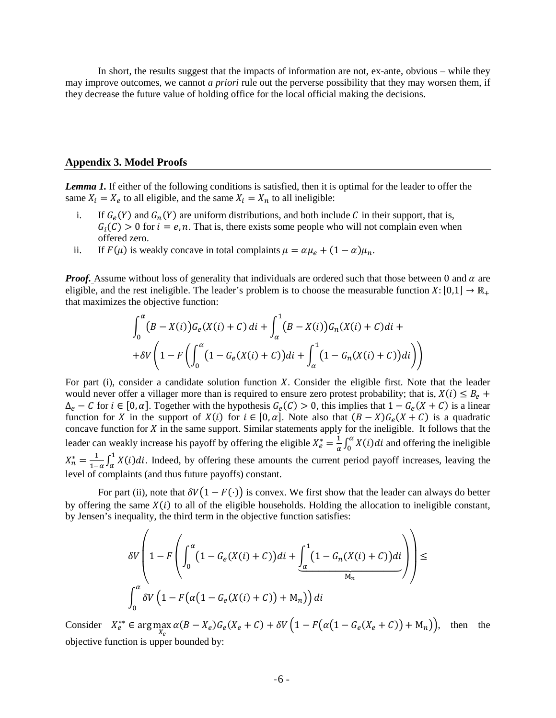In short, the results suggest that the impacts of information are not, ex-ante, obvious – while they may improve outcomes, we cannot *a priori* rule out the perverse possibility that they may worsen them, if they decrease the future value of holding office for the local official making the decisions.

#### **Appendix 3. Model Proofs**

*Lemma 1.* If either of the following conditions is satisfied, then it is optimal for the leader to offer the same  $X_i = X_e$  to all eligible, and the same  $X_i = X_n$  to all ineligible:

- i. If  $G_e(Y)$  and  $G_n(Y)$  are uniform distributions, and both include C in their support, that is,  $G_i(C) > 0$  for  $i = e, n$ . That is, there exists some people who will not complain even when offered zero.
- ii. If  $F(\mu)$  is weakly concave in total complaints  $\mu = \alpha \mu_e + (1 \alpha)\mu_n$ .

*Proof.* Assume without loss of generality that individuals are ordered such that those between 0 and  $\alpha$  are eligible, and the rest ineligible. The leader's problem is to choose the measurable function  $X: [0,1] \to \mathbb{R}_+$ that maximizes the objective function:

$$
\int_0^{\alpha} (B - X(i))G_e(X(i) + C) \, di + \int_{\alpha}^1 (B - X(i))G_n(X(i) + C) \, di + \frac{1}{\delta V} \left( 1 - F\left( \int_0^{\alpha} (1 - G_e(X(i) + C)) \, di + \int_{\alpha}^1 (1 - G_n(X(i) + C)) \, di \right) \right)
$$

For part (i), consider a candidate solution function  $X$ . Consider the eligible first. Note that the leader would never offer a villager more than is required to ensure zero protest probability; that is,  $X(i) \leq B_e$  +  $\Delta_e - C$  for  $i \in [0, \alpha]$ . Together with the hypothesis  $G_e(C) > 0$ , this implies that  $1 - G_e(X + C)$  is a linear function for X in the support of  $X(i)$  for  $i \in [0, \alpha]$ . Note also that  $(B - X)G_{\rho}(X + C)$  is a quadratic concave function for  $X$  in the same support. Similar statements apply for the ineligible. It follows that the leader can weakly increase his payoff by offering the eligible  $X_e^* = \frac{1}{\alpha} \int_0^{\alpha} X(i) di$  and offering the ineligible  $X_n^* = \frac{1}{1-\alpha} \int_{\alpha}^{1} X(i)di$ . Indeed, by offering these amounts the current period payoff increases, leaving the level of complaints (and thus future payoffs) constant.

For part (ii), note that  $\delta V(1 - F(\cdot))$  is convex. We first show that the leader can always do better by offering the same  $X(i)$  to all of the eligible households. Holding the allocation to ineligible constant, by Jensen's inequality, the third term in the objective function satisfies:

$$
\delta V \left( 1 - F \left( \int_0^{\alpha} \left( 1 - G_e(X(i) + C) \right) di + \underbrace{\int_{\alpha}^1 \left( 1 - G_n(X(i) + C) \right) di}_{M_n} \right) \right) \le
$$
  

$$
\int_0^{\alpha} \delta V \left( 1 - F \left( \alpha \left( 1 - G_e(X(i) + C) \right) + M_n \right) \right) di
$$

Consider  $X_e^{**} \in \arg \max_{X_e} \alpha(B - X_e)G_e(X_e + C) + \delta V\left(1 - F(\alpha(1 - G_e(X_e + C)) + M_n)\right)$ , then the objective function is upper bounded by: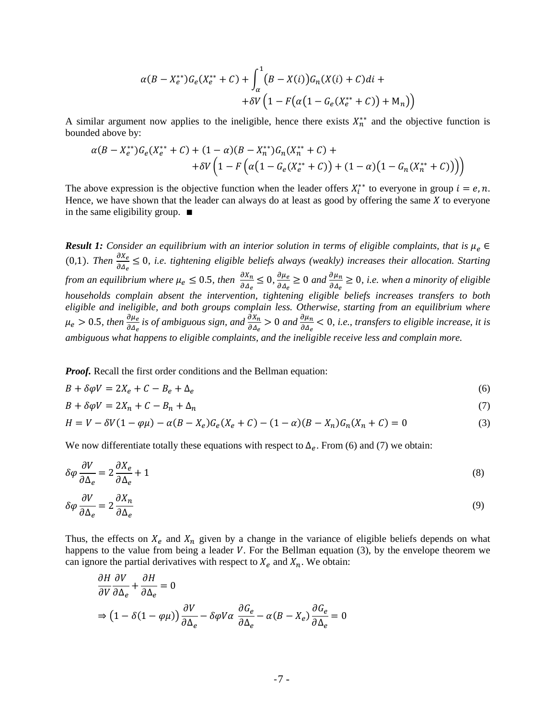$$
\alpha (B - X_e^{**}) G_e(X_e^{**} + C) + \int_{\alpha}^{1} (B - X(i)) G_n(X(i) + C) di +
$$
  
+ 
$$
\delta V \left(1 - F(\alpha (1 - G_e(X_e^{**} + C)) + M_n)\right)
$$

A similar argument now applies to the ineligible, hence there exists  $X_n^{**}$  and the objective function is bounded above by:

$$
\alpha (B - X_e^{**}) G_e(X_e^{**} + C) + (1 - \alpha)(B - X_n^{**}) G_n(X_n^{**} + C) ++ \delta V \left(1 - F\left(\alpha (1 - G_e(X_e^{**} + C)) + (1 - \alpha)(1 - G_n(X_n^{**} + C))\right)\right)
$$

The above expression is the objective function when the leader offers  $X_i^{**}$  to everyone in group  $i = e, n$ . Hence, we have shown that the leader can always do at least as good by offering the same  $X$  to everyone in the same eligibility group. ∎

**Result 1:** *Consider an equilibrium with an interior solution in terms of eligible complaints, that is*  $\mu_e$   $\in$ (0,1). Then  $\frac{\partial X_e}{\partial \Delta_e} \leq 0$ , *i.e. tightening eligible beliefs always (weakly) increases their allocation. Starting from an equilibrium where*  $\mu_e \leq 0.5$ , then  $\frac{\partial X_n}{\partial \Delta_e} \leq 0$ ,  $\frac{\partial \mu_e}{\partial \Delta_e}$  $\frac{\partial \mu_e}{\partial \Delta_e} \ge 0$  and  $\frac{\partial \mu_n}{\partial \Delta_e} \ge 0$ , *i.e.* when a minority of eligible *households complain absent the intervention, tightening eligible beliefs increases transfers to both eligible and ineligible, and both groups complain less. Otherwise, starting from an equilibrium where*   $\mu_e > 0.5$ , then  $\frac{\partial \mu_e}{\partial \Delta_e}$  is of ambiguous sign, and  $\frac{\partial X_n}{\partial \Delta_e} > 0$  and  $\frac{\partial \mu_n}{\partial \Delta_e} < 0$ , i.e., transfers to eligible increase, it is *ambiguous what happens to eligible complaints, and the ineligible receive less and complain more.*

*Proof.* Recall the first order conditions and the Bellman equation:

$$
B + \delta \varphi V = 2X_e + C - B_e + \Delta_e \tag{6}
$$

$$
B + \delta \varphi V = 2X_n + C - B_n + \Delta_n \tag{7}
$$

$$
H = V - \delta V (1 - \varphi \mu) - \alpha (B - X_e) G_e (X_e + C) - (1 - \alpha) (B - X_n) G_n (X_n + C) = 0
$$
\n(3)

We now differentiate totally these equations with respect to  $\Delta_e$ . From (6) and (7) we obtain:

$$
\delta \varphi \frac{\partial V}{\partial \Delta_e} = 2 \frac{\partial X_e}{\partial \Delta_e} + 1 \tag{8}
$$

$$
\delta \varphi \frac{\partial V}{\partial \Delta_e} = 2 \frac{\partial X_n}{\partial \Delta_e} \tag{9}
$$

Thus, the effects on  $X_e$  and  $X_n$  given by a change in the variance of eligible beliefs depends on what happens to the value from being a leader  $V$ . For the Bellman equation (3), by the envelope theorem we can ignore the partial derivatives with respect to  $X_e$  and  $X_n$ . We obtain:

$$
\frac{\partial H}{\partial V} \frac{\partial V}{\partial \Delta_e} + \frac{\partial H}{\partial \Delta_e} = 0
$$
  
\n
$$
\Rightarrow (1 - \delta(1 - \varphi \mu)) \frac{\partial V}{\partial \Delta_e} - \delta \varphi V \alpha \frac{\partial G_e}{\partial \Delta_e} - \alpha (B - X_e) \frac{\partial G_e}{\partial \Delta_e} = 0
$$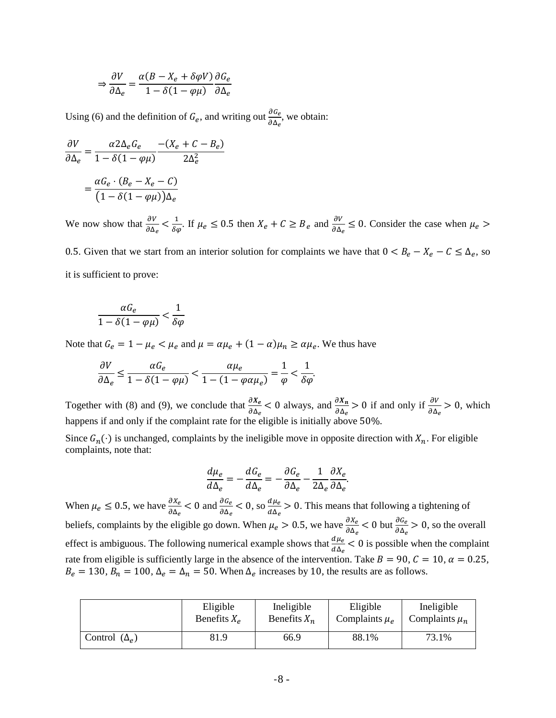$$
\Rightarrow \frac{\partial V}{\partial \Delta_e} = \frac{\alpha (B - X_e + \delta \varphi V)}{1 - \delta (1 - \varphi \mu)} \frac{\partial G_e}{\partial \Delta_e}
$$

Using (6) and the definition of  $G_e$ , and writing out  $\frac{\partial G_e}{\partial \Delta_e}$ , we obtain:

$$
\frac{\partial V}{\partial \Delta_e} = \frac{\alpha 2\Delta_e G_e}{1 - \delta(1 - \varphi \mu)} \frac{-(X_e + C - B_e)}{2\Delta_e^2}
$$

$$
= \frac{\alpha G_e \cdot (B_e - X_e - C)}{(1 - \delta(1 - \varphi \mu))\Delta_e}
$$

We now show that  $\frac{\partial V}{\partial \Delta_e} < \frac{1}{\delta \varphi}$ . If  $\mu_e \le 0.5$  then  $X_e + C \ge B_e$  and  $\frac{\partial V}{\partial \Delta_e} \le 0$ . Consider the case when  $\mu_e >$ 0.5. Given that we start from an interior solution for complaints we have that  $0 < B_e - X_e - C \leq \Delta_e$ , so

it is sufficient to prove:

$$
\frac{\alpha G_e}{1-\delta(1-\varphi\mu)} < \frac{1}{\delta\varphi}
$$

Note that  $G_e = 1 - \mu_e < \mu_e$  and  $\mu = \alpha \mu_e + (1 - \alpha) \mu_n \ge \alpha \mu_e$ . We thus have

$$
\frac{\partial V}{\partial \Delta_e} \le \frac{\alpha G_e}{1 - \delta (1 - \varphi \mu)} < \frac{\alpha \mu_e}{1 - (1 - \varphi \alpha \mu_e)} = \frac{1}{\varphi} < \frac{1}{\delta \varphi}.
$$

Together with (8) and (9), we conclude that  $\frac{\partial X_e}{\partial \Delta_e} < 0$  always, and  $\frac{\partial X_n}{\partial \Delta_e} > 0$  if and only if  $\frac{\partial V}{\partial \Delta_e} > 0$ , which happens if and only if the complaint rate for the eligible is initially above 50%.

Since  $G_n(\cdot)$  is unchanged, complaints by the ineligible move in opposite direction with  $X_n$ . For eligible complaints, note that:

$$
\frac{d\mu_e}{d\Delta_e} = -\frac{dG_e}{d\Delta_e} = -\frac{\partial G_e}{\partial \Delta_e} - \frac{1}{2\Delta_e} \frac{\partial X_e}{\partial \Delta_e}.
$$

When  $\mu_e \le 0.5$ , we have  $\frac{\partial X_e}{\partial \Delta_e} < 0$  and  $\frac{\partial G_e}{\partial \Delta_e} < 0$ , so  $\frac{\partial \mu_e}{\partial \Delta_e}$  $rac{d\mu_e}{d\Delta_e} > 0$ . This means that following a tightening of beliefs, complaints by the eligible go down. When  $\mu_e > 0.5$ , we have  $\frac{\partial X_e}{\partial \Delta_e} < 0$  but  $\frac{\partial G_e}{\partial \Delta_e} > 0$ , so the overall effect is ambiguous. The following numerical example shows that  $\frac{d\mu_e}{d\Delta_e} < 0$  is possible when the complaint rate from eligible is sufficiently large in the absence of the intervention. Take  $B = 90$ ,  $C = 10$ ,  $\alpha = 0.25$ ,  $B_e = 130$ ,  $B_n = 100$ ,  $\Delta_e = \Delta_n = 50$ . When  $\Delta_e$  increases by 10, the results are as follows.

|                           | Eligible       | Ineligible     | Eligible           | Ineligible         |
|---------------------------|----------------|----------------|--------------------|--------------------|
|                           | Benefits $X_e$ | Benefits $X_n$ | Complaints $\mu_e$ | Complaints $\mu_n$ |
| Control $(\Delta_{\rho})$ | 81.9           | 66.9           | 88.1%              | 73.1%              |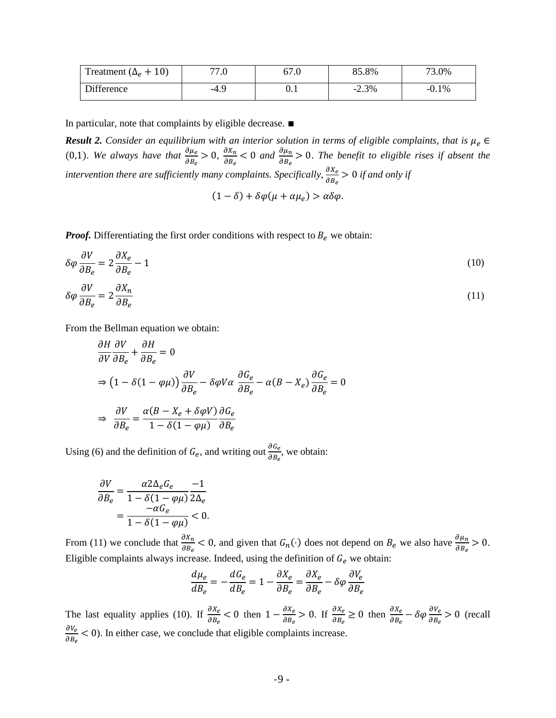| Treatment ( $\Delta_e$ + 10) | 77.0 | 67.0 | 85.8%   | 73.0%   |
|------------------------------|------|------|---------|---------|
| Difference                   | -4.9 | ∪.⊥  | $-2.3%$ | $-0.1%$ |

In particular, note that complaints by eligible decrease. ∎

**Result 2.** *Consider an equilibrium with an interior solution in terms of eligible complaints, that is*  $\mu_e$   $\in$ (0,1). We always have that  $\frac{\partial \mu_e}{\partial B_e} > 0$ ,  $\frac{\partial X_n}{\partial B_e} < 0$  and  $\frac{\partial \mu_n}{\partial B_e} > 0$ . The benefit to eligible rises if absent the intervention there are sufficiently many complaints. Specifically,  $\frac{\partial X_e}{\partial B_e} > 0$  if and only if

$$
(1 - \delta) + \delta \varphi(\mu + \alpha \mu_e) > \alpha \delta \varphi.
$$

*Proof.* Differentiating the first order conditions with respect to  $B_e$  we obtain:

$$
\delta\varphi \frac{\partial V}{\partial B_e} = 2 \frac{\partial X_e}{\partial B_e} - 1
$$
\n(10)\n  
\n
$$
\frac{\partial V}{\partial X} = 2 \frac{\partial X_e}{\partial B_e}
$$

$$
\delta \varphi \frac{\partial V}{\partial B_e} = 2 \frac{\partial X_n}{\partial B_e} \tag{11}
$$

From the Bellman equation we obtain:

$$
\frac{\partial H}{\partial V} \frac{\partial V}{\partial B_e} + \frac{\partial H}{\partial B_e} = 0
$$
\n
$$
\Rightarrow \left(1 - \delta(1 - \varphi \mu)\right) \frac{\partial V}{\partial B_e} - \delta \varphi V \alpha \frac{\partial G_e}{\partial B_e} - \alpha (B - X_e) \frac{\partial G_e}{\partial B_e} = 0
$$
\n
$$
\Rightarrow \frac{\partial V}{\partial B_e} = \frac{\alpha (B - X_e + \delta \varphi V)}{1 - \delta (1 - \varphi \mu)} \frac{\partial G_e}{\partial B_e}
$$

Using (6) and the definition of  $G_e$ , and writing out  $\frac{\partial G_e}{\partial B_e}$ , we obtain:

$$
\frac{\partial V}{\partial B_e} = \frac{\alpha 2\Delta_e G_e}{1 - \delta (1 - \varphi \mu)} \frac{-1}{2\Delta_e} = \frac{-\alpha G_e}{1 - \delta (1 - \varphi \mu)} < 0.
$$

From (11) we conclude that  $\frac{\partial X_n}{\partial B_e} < 0$ , and given that  $G_n(\cdot)$  does not depend on  $B_e$  we also have  $\frac{\partial \mu_n}{\partial B_e} > 0$ . Eligible complaints always increase. Indeed, using the definition of  $G_e$  we obtain:

$$
\frac{d\mu_e}{dB_e} = -\frac{dG_e}{dB_e} = 1 - \frac{\partial X_e}{\partial B_e} = \frac{\partial X_e}{\partial B_e} - \delta \varphi \frac{\partial V_e}{\partial B_e}
$$

The last equality applies (10). If  $\frac{\partial X_e}{\partial B_e} < 0$  then  $1 - \frac{\partial X_e}{\partial B_e} > 0$ . If  $\frac{\partial X_e}{\partial B_e} \ge 0$  then  $\frac{\partial X_e}{\partial B_e} - \delta \varphi \frac{\partial V_e}{\partial B_e} > 0$  (recall  $\frac{\partial V_e}{\partial r}$  $\frac{\partial V_e}{\partial B_e}$  < 0). In either case, we conclude that eligible complaints increase.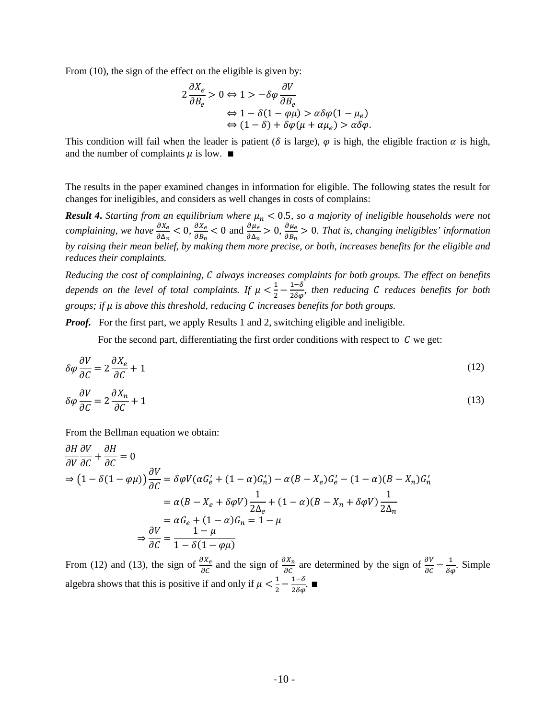From (10), the sign of the effect on the eligible is given by:

$$
2 \frac{\partial X_e}{\partial B_e} > 0 \Leftrightarrow 1 > -\delta \varphi \frac{\partial V}{\partial B_e}
$$
  

$$
\Leftrightarrow 1 - \delta (1 - \varphi \mu) > \alpha \delta \varphi (1 - \mu_e)
$$
  

$$
\Leftrightarrow (1 - \delta) + \delta \varphi (\mu + \alpha \mu_e) > \alpha \delta \varphi.
$$

This condition will fail when the leader is patient ( $\delta$  is large),  $\varphi$  is high, the eligible fraction  $\alpha$  is high, and the number of complaints  $\mu$  is low. ■

The results in the paper examined changes in information for eligible. The following states the result for changes for ineligibles, and considers as well changes in costs of complains:

*Result 4. Starting from an equilibrium where*  $\mu_n < 0.5$ , so a majority of ineligible households were not *complaining, we have*  $\frac{\partial X_e}{\partial \Delta_n} < 0$ ,  $\frac{\partial X_e}{\partial B_n}$  $\frac{\partial X_e}{\partial B_n}$  < 0 and  $\frac{\partial \mu_e}{\partial \Delta_n}$  > 0,  $\frac{\partial \mu_e}{\partial B_n}$  $\frac{\partial \mu_e}{\partial B_n} > 0$ . That is, changing ineligibles' information *by raising their mean belief, by making them more precise, or both, increases benefits for the eligible and reduces their complaints.*

*Reducing the cost of complaining, always increases complaints for both groups. The effect on benefits*  depends on the level of total complaints. If  $\mu < \frac{1}{2} - \frac{1-\delta}{2\delta\varphi}$ , then reducing C reduces benefits for both *groups; if is above this threshold, reducing increases benefits for both groups.*

*Proof.* For the first part, we apply Results 1 and 2, switching eligible and ineligible.

For the second part, differentiating the first order conditions with respect to  $C$  we get:

$$
\delta \varphi \frac{\partial V}{\partial C} = 2 \frac{\partial X_e}{\partial C} + 1 \tag{12}
$$

$$
\delta \varphi \frac{\partial V}{\partial C} = 2 \frac{\partial X_n}{\partial C} + 1 \tag{13}
$$

From the Bellman equation we obtain:

$$
\frac{\partial H}{\partial V} \frac{\partial V}{\partial C} + \frac{\partial H}{\partial C} = 0
$$
\n
$$
\Rightarrow (1 - \delta(1 - \varphi\mu)) \frac{\partial V}{\partial C} = \delta\varphi V (\alpha G_e' + (1 - \alpha)G_n') - \alpha (B - X_e)G_e' - (1 - \alpha)(B - X_n)G_n'
$$
\n
$$
= \alpha (B - X_e + \delta\varphi V) \frac{1}{2\Delta_e} + (1 - \alpha)(B - X_n + \delta\varphi V) \frac{1}{2\Delta_n}
$$
\n
$$
= \alpha G_e + (1 - \alpha)G_n = 1 - \mu
$$
\n
$$
\Rightarrow \frac{\partial V}{\partial C} = \frac{1 - \mu}{1 - \delta(1 - \varphi\mu)}
$$

From (12) and (13), the sign of  $\frac{\partial X_e}{\partial C}$  and the sign of  $\frac{\partial X_n}{\partial C}$  are determined by the sign of  $\frac{\partial V}{\partial C} - \frac{1}{\delta \varphi}$ . Simple algebra shows that this is positive if and only if  $\mu < \frac{1}{2} - \frac{1-\delta}{2\delta\varphi}$ .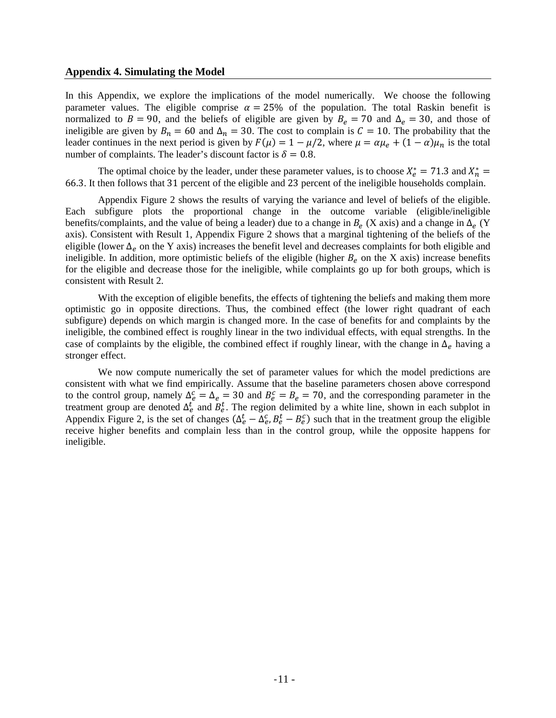#### **Appendix 4. Simulating the Model**

In this Appendix, we explore the implications of the model numerically. We choose the following parameter values. The eligible comprise  $\alpha = 25\%$  of the population. The total Raskin benefit is normalized to  $B = 90$ , and the beliefs of eligible are given by  $B_e = 70$  and  $\Delta_e = 30$ , and those of ineligible are given by  $B_n = 60$  and  $\Delta_n = 30$ . The cost to complain is  $C = 10$ . The probability that the leader continues in the next period is given by  $F(\mu) = 1 - \mu/2$ , where  $\mu = \alpha \mu_e + (1 - \alpha)\mu_n$  is the total number of complaints. The leader's discount factor is  $\delta = 0.8$ .

The optimal choice by the leader, under these parameter values, is to choose  $X_e^* = 71.3$  and  $X_n^* =$ 66.3. It then follows that 31 percent of the eligible and 23 percent of the ineligible households complain.

Appendix Figure 2 shows the results of varying the variance and level of beliefs of the eligible. Each subfigure plots the proportional change in the outcome variable (eligible/ineligible benefits/complaints, and the value of being a leader) due to a change in  $B_e$  (X axis) and a change in  $\Delta_e$  (Y axis). Consistent with Result 1, Appendix Figure 2 shows that a marginal tightening of the beliefs of the eligible (lower  $\Delta_e$  on the Y axis) increases the benefit level and decreases complaints for both eligible and ineligible. In addition, more optimistic beliefs of the eligible (higher  $B_e$  on the X axis) increase benefits for the eligible and decrease those for the ineligible, while complaints go up for both groups, which is consistent with Result 2.

With the exception of eligible benefits, the effects of tightening the beliefs and making them more optimistic go in opposite directions. Thus, the combined effect (the lower right quadrant of each subfigure) depends on which margin is changed more. In the case of benefits for and complaints by the ineligible, the combined effect is roughly linear in the two individual effects, with equal strengths. In the case of complaints by the eligible, the combined effect if roughly linear, with the change in  $\Delta_e$  having a stronger effect.

We now compute numerically the set of parameter values for which the model predictions are consistent with what we find empirically. Assume that the baseline parameters chosen above correspond to the control group, namely  $\Delta_e^c = \Delta_e = 30$  and  $B_e^c = B_e = 70$ , and the corresponding parameter in the treatment group are denoted  $\Delta_e^t$  and  $B_e^t$ . The region delimited by a white line, shown in each subplot in Appendix Figure 2, is the set of changes  $(\Delta_e^t - \Delta_e^c, B_e^t - B_e^c)$  such that in the treatment group the eligible receive higher benefits and complain less than in the control group, while the opposite happens for ineligible.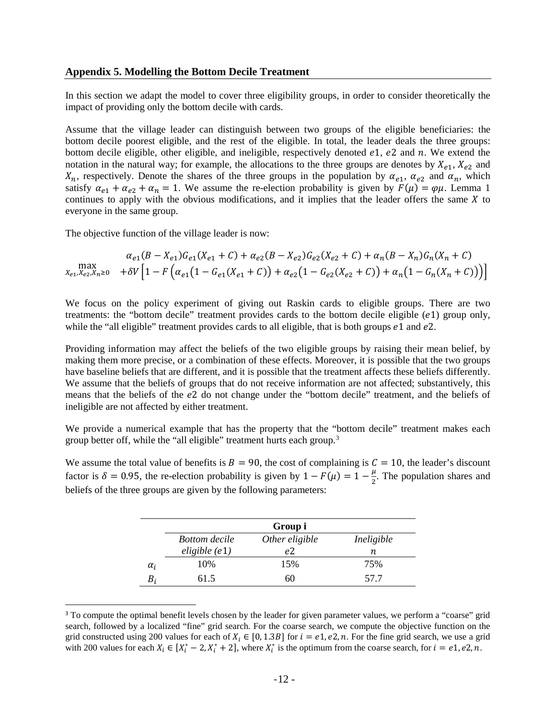In this section we adapt the model to cover three eligibility groups, in order to consider theoretically the impact of providing only the bottom decile with cards.

Assume that the village leader can distinguish between two groups of the eligible beneficiaries: the bottom decile poorest eligible, and the rest of the eligible. In total, the leader deals the three groups: bottom decile eligible, other eligible, and ineligible, respectively denoted  $e_1$ ,  $e_2$  and  $n$ . We extend the notation in the natural way; for example, the allocations to the three groups are denotes by  $X_{e1}$ ,  $X_{e2}$  and  $X_n$ , respectively. Denote the shares of the three groups in the population by  $\alpha_{e1}$ ,  $\alpha_{e2}$  and  $\alpha_n$ , which satisfy  $\alpha_{e1} + \alpha_{e2} + \alpha_n = 1$ . We assume the re-election probability is given by  $F(\mu) = \varphi\mu$ . Lemma 1 continues to apply with the obvious modifications, and it implies that the leader offers the same  $X$  to everyone in the same group.

The objective function of the village leader is now:

$$
\max_{X_{e1}, X_{e2}, X_{n}\geq 0} \quad \alpha_{e1}(B - X_{e1})G_{e1}(X_{e1} + C) + \alpha_{e2}(B - X_{e2})G_{e2}(X_{e2} + C) + \alpha_{n}(B - X_{n})G_{n}(X_{n} + C)
$$
\n
$$
\max_{X_{e1}, X_{e2}, X_{n}\geq 0} \quad + \delta V \left[1 - F\left(\alpha_{e1}(1 - G_{e1}(X_{e1} + C)) + \alpha_{e2}(1 - G_{e2}(X_{e2} + C)) + \alpha_{n}(1 - G_{n}(X_{n} + C))\right)\right]
$$

We focus on the policy experiment of giving out Raskin cards to eligible groups. There are two treatments: the "bottom decile" treatment provides cards to the bottom decile eligible  $(e1)$  group only, while the "all eligible" treatment provides cards to all eligible, that is both groups  $e1$  and  $e2$ .

Providing information may affect the beliefs of the two eligible groups by raising their mean belief, by making them more precise, or a combination of these effects. Moreover, it is possible that the two groups have baseline beliefs that are different, and it is possible that the treatment affects these beliefs differently. We assume that the beliefs of groups that do not receive information are not affected; substantively, this means that the beliefs of the 2 do not change under the "bottom decile" treatment, and the beliefs of ineligible are not affected by either treatment.

We provide a numerical example that has the property that the "bottom decile" treatment makes each group better off, while the "all eligible" treatment hurts each group.<sup>[3](#page-11-0)</sup>

We assume the total value of benefits is  $B = 90$ , the cost of complaining is  $C = 10$ , the leader's discount factor is  $\delta = 0.95$ , the re-election probability is given by  $1 - F(\mu) = 1 - \frac{\mu}{2}$ . The population shares and beliefs of the three groups are given by the following parameters:

|            |                      | Group i        |            |
|------------|----------------------|----------------|------------|
|            | <b>Bottom</b> decile | Other eligible | Ineligible |
|            | eligible $(e1)$      | е2             | n          |
| $\alpha_i$ | 10%                  | 15%            | 75%        |
|            | 61.5                 | 60             | 57.7       |

<span id="page-11-0"></span><sup>&</sup>lt;sup>3</sup> To compute the optimal benefit levels chosen by the leader for given parameter values, we perform a "coarse" grid search, followed by a localized "fine" grid search. For the coarse search, we compute the objective function on the grid constructed using 200 values for each of  $X_i \in [0, 1.3B]$  for  $i = e1, e2, n$ . For the fine grid search, we use a grid with 200 values for each  $X_i \in [X_i^* - 2, X_i^* + 2]$ , where  $X_i^*$  is the optimum from the coarse search, for  $i = e_1, e_2, n$ .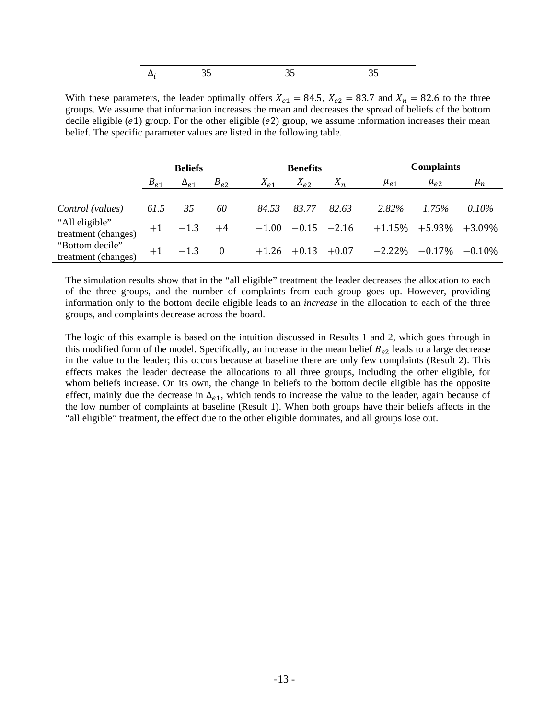With these parameters, the leader optimally offers  $X_{e1} = 84.5$ ,  $X_{e2} = 83.7$  and  $X_n = 82.6$  to the three groups. We assume that information increases the mean and decreases the spread of beliefs of the bottom decile eligible  $(e1)$  group. For the other eligible  $(e2)$  group, we assume information increases their mean belief. The specific parameter values are listed in the following table.

|                                                           | <b>Beliefs</b> |               |            |          | <b>Benefits</b>                  |         |            | <b>Complaints</b>               |                       |  |
|-----------------------------------------------------------|----------------|---------------|------------|----------|----------------------------------|---------|------------|---------------------------------|-----------------------|--|
|                                                           | $B_{e1}$       | $\Delta_{e1}$ | $B_{e2}$   | $X_{e1}$ | $X_{e2}$                         | $X_n$   | $\mu_{e1}$ | $\mu_{e2}$                      | $\mu_n$               |  |
| Control (values)<br>"All eligible"<br>treatment (changes) | 61.5<br>$+1$   | 35<br>$-1.3$  | 60<br>$+4$ | 84.53    | 83.77<br>$-1.00$ $-0.15$ $-2.16$ | 82.63   | 2.82%      | $1.75\%$<br>$+1.15\%$ $+5.93\%$ | $0.10\%$<br>$+3.09\%$ |  |
| "Bottom decile"<br>treatment (changes)                    | $+1$           | $-1.3$        | $\bf{0}$   |          | $+1.26 +0.13$                    | $+0.07$ | $-2.22\%$  | $-0.17\%$                       | $-0.10\%$             |  |

The simulation results show that in the "all eligible" treatment the leader decreases the allocation to each of the three groups, and the number of complaints from each group goes up. However, providing information only to the bottom decile eligible leads to an *increase* in the allocation to each of the three groups, and complaints decrease across the board.

The logic of this example is based on the intuition discussed in Results 1 and 2, which goes through in this modified form of the model. Specifically, an increase in the mean belief  $B_{e2}$  leads to a large decrease in the value to the leader; this occurs because at baseline there are only few complaints (Result 2). This effects makes the leader decrease the allocations to all three groups, including the other eligible, for whom beliefs increase. On its own, the change in beliefs to the bottom decile eligible has the opposite effect, mainly due the decrease in  $\Delta_{e1}$ , which tends to increase the value to the leader, again because of the low number of complaints at baseline (Result 1). When both groups have their beliefs affects in the "all eligible" treatment, the effect due to the other eligible dominates, and all groups lose out.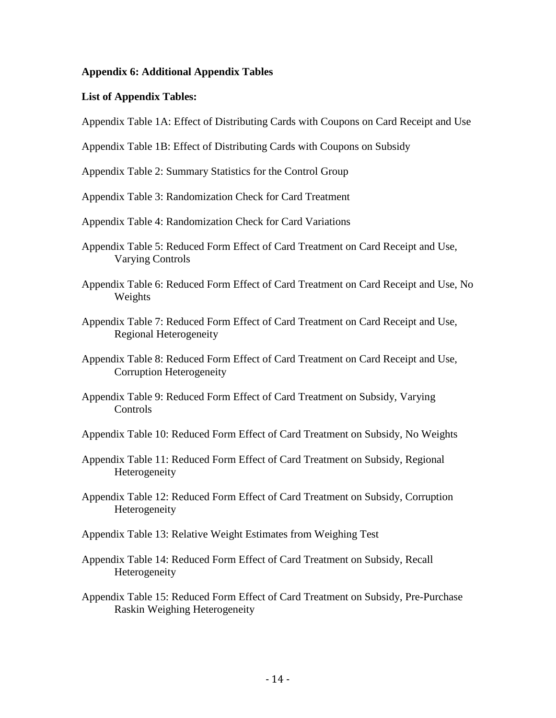## **Appendix 6: Additional Appendix Tables**

## **List of Appendix Tables:**

Appendix Table 1A: Effect of Distributing Cards with Coupons on Card Receipt and Use

Appendix Table 1B: Effect of Distributing Cards with Coupons on Subsidy

Appendix Table 2: Summary Statistics for the Control Group

Appendix Table 3: Randomization Check for Card Treatment

Appendix Table 4: Randomization Check for Card Variations

- Appendix Table 5: Reduced Form Effect of Card Treatment on Card Receipt and Use, Varying Controls
- Appendix Table 6: Reduced Form Effect of Card Treatment on Card Receipt and Use, No Weights
- Appendix Table 7: Reduced Form Effect of Card Treatment on Card Receipt and Use, Regional Heterogeneity
- Appendix Table 8: Reduced Form Effect of Card Treatment on Card Receipt and Use, Corruption Heterogeneity
- Appendix Table 9: Reduced Form Effect of Card Treatment on Subsidy, Varying Controls

Appendix Table 10: Reduced Form Effect of Card Treatment on Subsidy, No Weights

- Appendix Table 11: Reduced Form Effect of Card Treatment on Subsidy, Regional Heterogeneity
- Appendix Table 12: Reduced Form Effect of Card Treatment on Subsidy, Corruption Heterogeneity
- Appendix Table 13: Relative Weight Estimates from Weighing Test
- Appendix Table 14: Reduced Form Effect of Card Treatment on Subsidy, Recall Heterogeneity
- Appendix Table 15: Reduced Form Effect of Card Treatment on Subsidy, Pre-Purchase Raskin Weighing Heterogeneity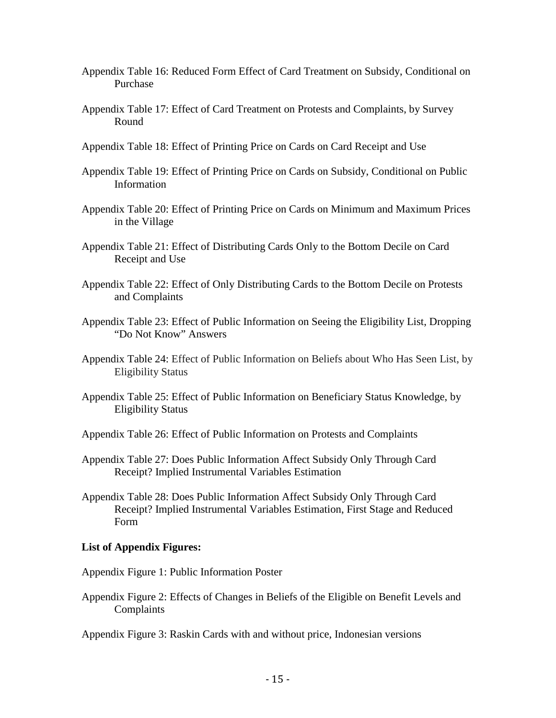- Appendix Table 16: Reduced Form Effect of Card Treatment on Subsidy, Conditional on Purchase
- Appendix Table 17: Effect of Card Treatment on Protests and Complaints, by Survey Round
- Appendix Table 18: Effect of Printing Price on Cards on Card Receipt and Use
- Appendix Table 19: Effect of Printing Price on Cards on Subsidy, Conditional on Public Information
- Appendix Table 20: Effect of Printing Price on Cards on Minimum and Maximum Prices in the Village
- Appendix Table 21: Effect of Distributing Cards Only to the Bottom Decile on Card Receipt and Use
- Appendix Table 22: Effect of Only Distributing Cards to the Bottom Decile on Protests and Complaints
- Appendix Table 23: Effect of Public Information on Seeing the Eligibility List, Dropping "Do Not Know" Answers
- Appendix Table 24: Effect of Public Information on Beliefs about Who Has Seen List, by Eligibility Status
- Appendix Table 25: Effect of Public Information on Beneficiary Status Knowledge, by Eligibility Status
- Appendix Table 26: Effect of Public Information on Protests and Complaints
- Appendix Table 27: Does Public Information Affect Subsidy Only Through Card Receipt? Implied Instrumental Variables Estimation
- Appendix Table 28: Does Public Information Affect Subsidy Only Through Card Receipt? Implied Instrumental Variables Estimation, First Stage and Reduced Form

## **List of Appendix Figures:**

Appendix Figure 1: Public Information Poster

Appendix Figure 2: Effects of Changes in Beliefs of the Eligible on Benefit Levels and Complaints

Appendix Figure 3: Raskin Cards with and without price, Indonesian versions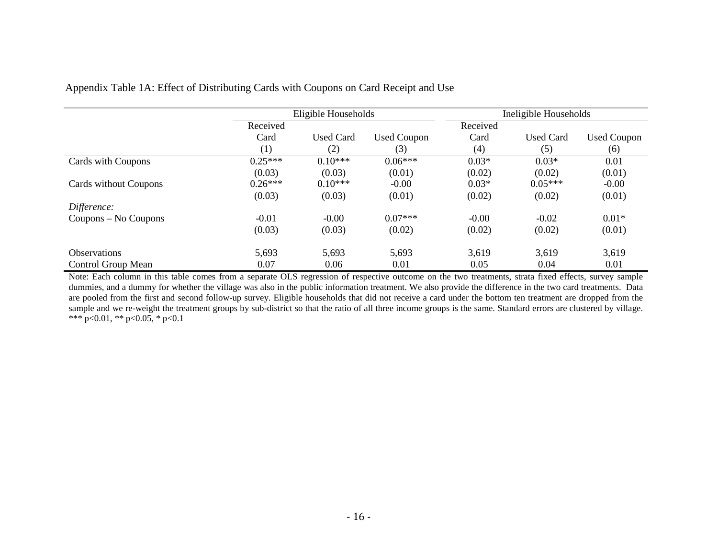|                       | Eligible Households |                  |                    |          | Ineligible Households |                    |
|-----------------------|---------------------|------------------|--------------------|----------|-----------------------|--------------------|
|                       | Received            |                  |                    | Received |                       |                    |
|                       | Card                | <b>Used Card</b> | <b>Used Coupon</b> | Card     | <b>Used Card</b>      | <b>Used Coupon</b> |
|                       | (1)                 | (2)              | (3)                | (4)      | (5)                   | (6)                |
| Cards with Coupons    | $0.25***$           | $0.10***$        | $0.06***$          | $0.03*$  | $0.03*$               | 0.01               |
|                       | (0.03)              | (0.03)           | (0.01)             | (0.02)   | (0.02)                | (0.01)             |
| Cards without Coupons | $0.26***$           | $0.10***$        | $-0.00$            | $0.03*$  | $0.05***$             | $-0.00$            |
|                       | (0.03)              | (0.03)           | (0.01)             | (0.02)   | (0.02)                | (0.01)             |
| Difference:           |                     |                  |                    |          |                       |                    |
| Coupons – No Coupons  | $-0.01$             | $-0.00$          | $0.07***$          | $-0.00$  | $-0.02$               | $0.01*$            |
|                       | (0.03)              | (0.03)           | (0.02)             | (0.02)   | (0.02)                | (0.01)             |
| Observations          | 5,693               | 5,693            | 5,693              | 3,619    | 3,619                 | 3,619              |
| Control Group Mean    | 0.07                | 0.06             | 0.01               | 0.05     | 0.04                  | 0.01               |

## Appendix Table 1A: Effect of Distributing Cards with Coupons on Card Receipt and Use

Note: Each column in this table comes from a separate OLS regression of respective outcome on the two treatments, strata fixed effects, survey sample dummies, and a dummy for whether the village was also in the public information treatment. We also provide the difference in the two card treatments. Data are pooled from the first and second follow-up survey. Eligible households that did not receive a card under the bottom ten treatment are dropped from the sample and we re-weight the treatment groups by sub-district so that the ratio of all three income groups is the same. Standard errors are clustered by village. \*\*\*  $p<0.01$ , \*\*  $p<0.05$ , \*  $p<0.1$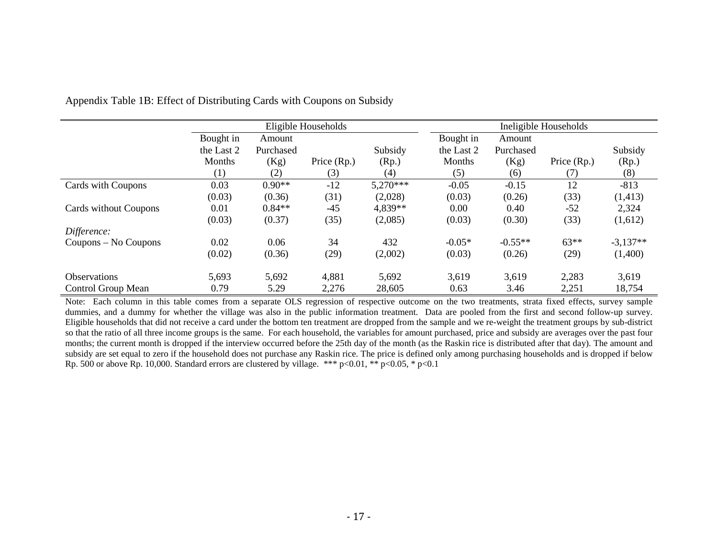|                       | Eligible Households         |                     |             |                  |                      |                     | Ineligible Households |                  |  |
|-----------------------|-----------------------------|---------------------|-------------|------------------|----------------------|---------------------|-----------------------|------------------|--|
|                       | Bought in                   | Amount<br>Purchased |             |                  | Bought in            | Amount<br>Purchased |                       |                  |  |
|                       | the Last 2<br><b>Months</b> | (Kg)                | Price (Rp.) | Subsidy<br>(Rp.) | the Last 2<br>Months | (Kg)                | Price (Rp.)           | Subsidy<br>(Rp.) |  |
|                       | (1)                         | (2)                 | (3)         | (4)              | (5)                  | (6)                 | (7)                   | (8)              |  |
| Cards with Coupons    | 0.03                        | $0.90**$            | $-12$       | 5,270***         | $-0.05$              | $-0.15$             | 12                    | $-813$           |  |
|                       | (0.03)                      | (0.36)              | (31)        | (2,028)          | (0.03)               | (0.26)              | (33)                  | (1, 413)         |  |
| Cards without Coupons | 0.01                        | $0.84**$            | $-45$       | 4,839**          | 0.00                 | 0.40                | $-52$                 | 2,324            |  |
|                       | (0.03)                      | (0.37)              | (35)        | (2,085)          | (0.03)               | (0.30)              | (33)                  | (1,612)          |  |
| Difference:           |                             |                     |             |                  |                      |                     |                       |                  |  |
| Coupons – No Coupons  | 0.02                        | 0.06                | 34          | 432              | $-0.05*$             | $-0.55**$           | $63**$                | $-3,137**$       |  |
|                       | (0.02)                      | (0.36)              | (29)        | (2,002)          | (0.03)               | (0.26)              | (29)                  | (1,400)          |  |
| <b>Observations</b>   | 5,693                       | 5,692               | 4,881       | 5,692            | 3,619                | 3,619               | 2,283                 | 3,619            |  |
| Control Group Mean    | 0.79                        | 5.29                | 2,276       | 28,605           | 0.63                 | 3.46                | 2,251                 | 18,754           |  |

Appendix Table 1B: Effect of Distributing Cards with Coupons on Subsidy

Note: Each column in this table comes from a separate OLS regression of respective outcome on the two treatments, strata fixed effects, survey sample dummies, and a dummy for whether the village was also in the public information treatment. Data are pooled from the first and second follow-up survey. Eligible households that did not receive a card under the bottom ten treatment are dropped from the sample and we re-weight the treatment groups by sub-district so that the ratio of all three income groups is the same. For each household, the variables for amount purchased, price and subsidy are averages over the past four months; the current month is dropped if the interview occurred before the 25th day of the month (as the Raskin rice is distributed after that day). The amount and subsidy are set equal to zero if the household does not purchase any Raskin rice. The price is defined only among purchasing households and is dropped if below Rp. 500 or above Rp. 10,000. Standard errors are clustered by village. \*\*\* p<0.01, \*\* p<0.05, \* p<0.1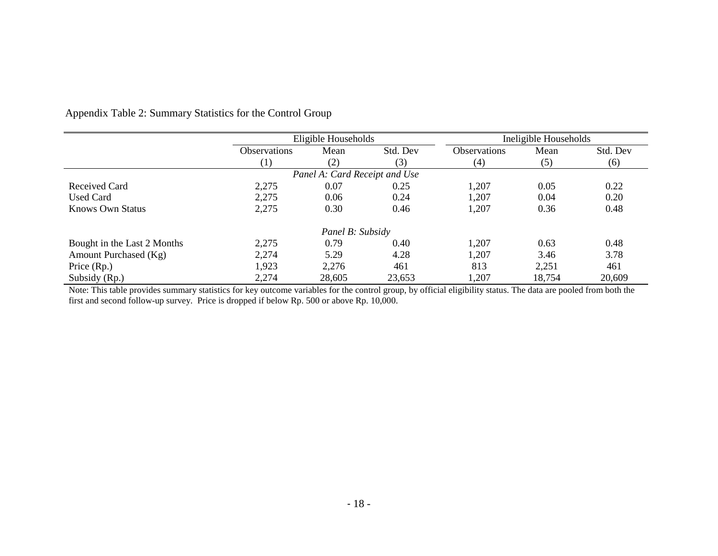|                             | Eligible Households |                               |          |              | Ineligible Households |          |
|-----------------------------|---------------------|-------------------------------|----------|--------------|-----------------------|----------|
|                             | <b>Observations</b> | Mean                          | Std. Dev | Observations | Mean                  | Std. Dev |
|                             | $\left(1\right)$    | (2)                           | (3)      | (4)          | (5)                   | (6)      |
|                             |                     | Panel A: Card Receipt and Use |          |              |                       |          |
| Received Card               | 2,275               | 0.07                          | 0.25     | 1,207        | 0.05                  | 0.22     |
| <b>Used Card</b>            | 2,275               | 0.06                          | 0.24     | 1,207        | 0.04                  | 0.20     |
| Knows Own Status            | 2,275               | 0.30                          | 0.46     | 1,207        | 0.36                  | 0.48     |
|                             |                     | Panel B: Subsidy              |          |              |                       |          |
| Bought in the Last 2 Months | 2,275               | 0.79                          | 0.40     | 1,207        | 0.63                  | 0.48     |
| Amount Purchased (Kg)       | 2,274               | 5.29                          | 4.28     | 1,207        | 3.46                  | 3.78     |
| Price $(Rp.)$               | 1,923               | 2,276                         | 461      | 813          | 2,251                 | 461      |
| Subsidy (Rp.)               | 2,274               | 28,605                        | 23,653   | 1,207        | 18,754                | 20,609   |

Appendix Table 2: Summary Statistics for the Control Group

Note: This table provides summary statistics for key outcome variables for the control group, by official eligibility status. The data are pooled from both the first and second follow-up survey. Price is dropped if below Rp. 500 or above Rp. 10,000.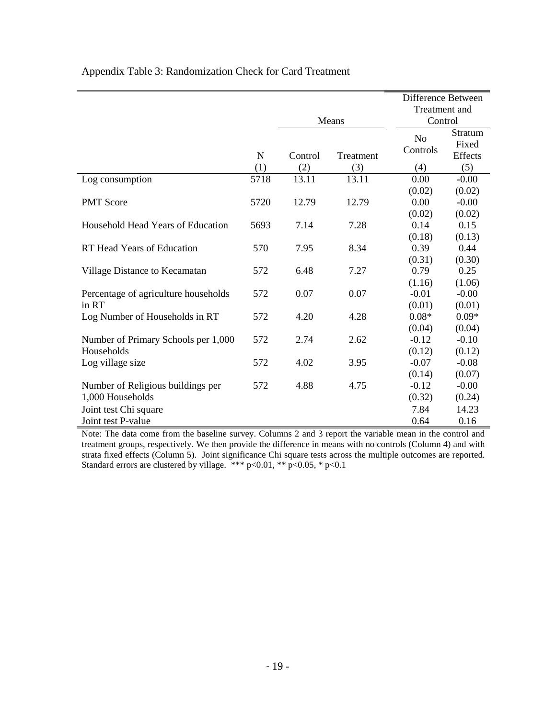|  |  | Appendix Table 3: Randomization Check for Card Treatment |  |  |
|--|--|----------------------------------------------------------|--|--|
|--|--|----------------------------------------------------------|--|--|

|                                      |             |         |           | Difference Between         |                                    |
|--------------------------------------|-------------|---------|-----------|----------------------------|------------------------------------|
|                                      |             |         |           | <b>Treatment</b> and       |                                    |
|                                      |             |         | Means     | Control                    |                                    |
|                                      | $\mathbf N$ | Control | Treatment | N <sub>o</sub><br>Controls | <b>Stratum</b><br>Fixed<br>Effects |
|                                      | (1)         | (2)     | (3)       | (4)                        | (5)                                |
| Log consumption                      | 5718        | 13.11   | 13.11     | 0.00                       | $-0.00$                            |
|                                      |             |         |           | (0.02)                     | (0.02)                             |
| <b>PMT Score</b>                     | 5720        | 12.79   | 12.79     | 0.00                       | $-0.00$                            |
|                                      |             |         |           | (0.02)                     | (0.02)                             |
| Household Head Years of Education    | 5693        | 7.14    | 7.28      | 0.14                       | 0.15                               |
|                                      |             |         |           | (0.18)                     | (0.13)                             |
| RT Head Years of Education           | 570         | 7.95    | 8.34      | 0.39                       | 0.44                               |
|                                      |             |         |           | (0.31)                     | (0.30)                             |
| Village Distance to Kecamatan        | 572         | 6.48    | 7.27      | 0.79                       | 0.25                               |
|                                      |             |         |           | (1.16)                     | (1.06)                             |
| Percentage of agriculture households | 572         | 0.07    | 0.07      | $-0.01$                    | $-0.00$                            |
| in RT                                |             |         |           | (0.01)                     | (0.01)                             |
| Log Number of Households in RT       | 572         | 4.20    | 4.28      | $0.08*$                    | $0.09*$                            |
|                                      |             |         |           | (0.04)                     | (0.04)                             |
| Number of Primary Schools per 1,000  | 572         | 2.74    | 2.62      | $-0.12$                    | $-0.10$                            |
| Households                           |             |         |           | (0.12)                     | (0.12)                             |
| Log village size                     | 572         | 4.02    | 3.95      | $-0.07$                    | $-0.08$                            |
|                                      |             |         |           | (0.14)                     | (0.07)                             |
| Number of Religious buildings per    | 572         | 4.88    | 4.75      | $-0.12$                    | $-0.00$                            |
| 1,000 Households                     |             |         |           | (0.32)                     | (0.24)                             |
| Joint test Chi square                |             |         |           | 7.84                       | 14.23                              |
| Joint test P-value                   |             |         |           | 0.64                       | 0.16                               |

Note: The data come from the baseline survey. Columns 2 and 3 report the variable mean in the control and treatment groups, respectively. We then provide the difference in means with no controls (Column 4) and with strata fixed effects (Column 5). Joint significance Chi square tests across the multiple outcomes are reported. Standard errors are clustered by village. \*\*\* p<0.01, \*\* p<0.05, \* p<0.1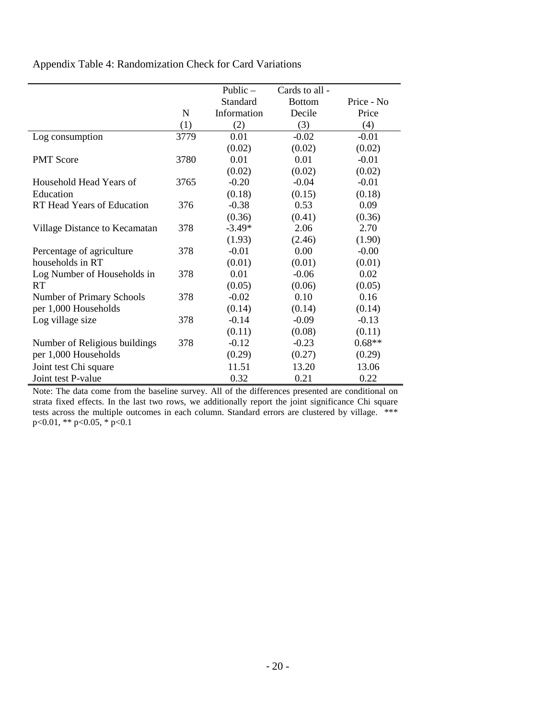Appendix Table 4: Randomization Check for Card Variations

|                                   |           | Public $-$  | Cards to all - |            |
|-----------------------------------|-----------|-------------|----------------|------------|
|                                   |           | Standard    | <b>Bottom</b>  | Price - No |
|                                   | ${\bf N}$ | Information | Decile         | Price      |
|                                   | (1)       | (2)         | (3)            | (4)        |
| Log consumption                   | 3779      | 0.01        | $-0.02$        | $-0.01$    |
|                                   |           | (0.02)      | (0.02)         | (0.02)     |
| <b>PMT Score</b>                  | 3780      | 0.01        | 0.01           | $-0.01$    |
|                                   |           | (0.02)      | (0.02)         | (0.02)     |
| Household Head Years of           | 3765      | $-0.20$     | $-0.04$        | $-0.01$    |
| Education                         |           | (0.18)      | (0.15)         | (0.18)     |
| <b>RT</b> Head Years of Education | 376       | $-0.38$     | 0.53           | 0.09       |
|                                   |           | (0.36)      | (0.41)         | (0.36)     |
| Village Distance to Kecamatan     | 378       | $-3.49*$    | 2.06           | 2.70       |
|                                   |           | (1.93)      | (2.46)         | (1.90)     |
| Percentage of agriculture         | 378       | $-0.01$     | 0.00           | $-0.00$    |
| households in RT                  |           | (0.01)      | (0.01)         | (0.01)     |
| Log Number of Households in       | 378       | 0.01        | $-0.06$        | 0.02       |
| <b>RT</b>                         |           | (0.05)      | (0.06)         | (0.05)     |
| Number of Primary Schools         | 378       | $-0.02$     | 0.10           | 0.16       |
| per 1,000 Households              |           | (0.14)      | (0.14)         | (0.14)     |
| Log village size                  | 378       | $-0.14$     | $-0.09$        | $-0.13$    |
|                                   |           | (0.11)      | (0.08)         | (0.11)     |
| Number of Religious buildings     | 378       | $-0.12$     | $-0.23$        | $0.68**$   |
| per 1,000 Households              |           | (0.29)      | (0.27)         | (0.29)     |
| Joint test Chi square             |           | 11.51       | 13.20          | 13.06      |
| Joint test P-value                |           | 0.32        | 0.21           | 0.22       |

Note: The data come from the baseline survey. All of the differences presented are conditional on strata fixed effects. In the last two rows, we additionally report the joint significance Chi square tests across the multiple outcomes in each column. Standard errors are clustered by village. \*\*\* p<0.01, \*\* p<0.05, \* p<0.1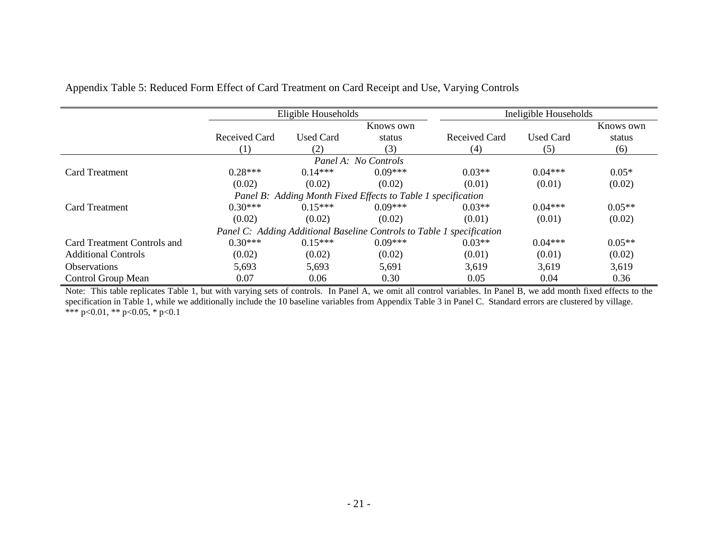|                             |               | Eligible Households |                                                                       |               | Ineligible Households |           |
|-----------------------------|---------------|---------------------|-----------------------------------------------------------------------|---------------|-----------------------|-----------|
|                             |               |                     | Knows own                                                             |               |                       | Knows own |
|                             | Received Card | <b>Used Card</b>    | status                                                                | Received Card | <b>Used Card</b>      | status    |
|                             | (1)           | (2)                 | (3)                                                                   | (4)           | (5)                   | (6)       |
|                             |               |                     | Panel A: No Controls                                                  |               |                       |           |
| <b>Card Treatment</b>       | $0.28***$     | $0.14***$           | $0.09***$                                                             | $0.03**$      | $0.04***$             | $0.05*$   |
|                             | (0.02)        | (0.02)              | (0.02)                                                                | (0.01)        | (0.01)                | (0.02)    |
|                             |               |                     | Panel B: Adding Month Fixed Effects to Table 1 specification          |               |                       |           |
| <b>Card Treatment</b>       | $0.30***$     | $0.15***$           | $0.09***$                                                             | $0.03**$      | $0.04***$             | $0.05**$  |
|                             | (0.02)        | (0.02)              | (0.02)                                                                | (0.01)        | (0.01)                | (0.02)    |
|                             |               |                     | Panel C: Adding Additional Baseline Controls to Table 1 specification |               |                       |           |
| Card Treatment Controls and | $0.30***$     | $0.15***$           | $0.09***$                                                             | $0.03**$      | $0.04***$             | $0.05**$  |
| <b>Additional Controls</b>  | (0.02)        | (0.02)              | (0.02)                                                                | (0.01)        | (0.01)                | (0.02)    |
| <b>Observations</b>         | 5,693         | 5,693               | 5,691                                                                 | 3,619         | 3,619                 | 3,619     |
| Control Group Mean          | 0.07          | 0.06                | 0.30                                                                  | 0.05          | 0.04                  | 0.36      |

Appendix Table 5: Reduced Form Effect of Card Treatment on Card Receipt and Use, Varying Controls

Note: This table replicates Table 1, but with varying sets of controls. In Panel A, we omit all control variables. In Panel B, we add month fixed effects to the specification in Table 1, while we additionally include the 10 baseline variables from Appendix Table 3 in Panel C. Standard errors are clustered by village. \*\*\* p<0.01, \*\* p<0.05, \* p<0.1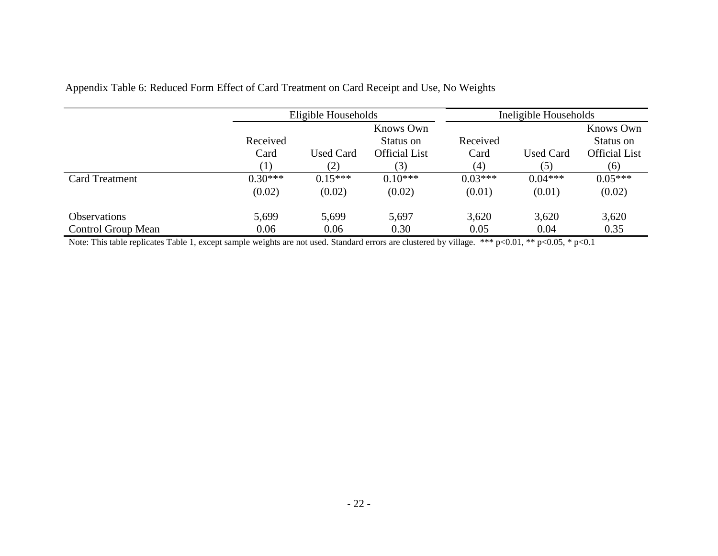|                       |                                    | Eligible Households |                      |           | Ineligible Households |                        |  |  |
|-----------------------|------------------------------------|---------------------|----------------------|-----------|-----------------------|------------------------|--|--|
|                       | Knows Own<br>Received<br>Status on |                     |                      | Received  |                       | Knows Own<br>Status on |  |  |
|                       | Card                               | <b>Used Card</b>    | <b>Official List</b> | Card      | <b>Used Card</b>      | <b>Official List</b>   |  |  |
|                       |                                    | (2)                 | (3)                  | (4)       | (5)                   | (6)                    |  |  |
| <b>Card Treatment</b> | $0.30***$                          | $0.15***$           | $0.10***$            | $0.03***$ | $0.04***$             | $0.05***$              |  |  |
|                       | (0.02)                             | (0.02)              | (0.02)               | (0.01)    | (0.01)                | (0.02)                 |  |  |
| <b>Observations</b>   | 5,699                              | 5,699               | 5,697                | 3,620     | 3,620                 | 3,620                  |  |  |
| Control Group Mean    | 0.06                               | 0.06                | 0.30                 | 0.05      | 0.04                  | 0.35                   |  |  |

Appendix Table 6: Reduced Form Effect of Card Treatment on Card Receipt and Use, No Weights

Note: This table replicates Table 1, except sample weights are not used. Standard errors are clustered by village. \*\*\* p<0.01, \*\* p<0.05, \* p<0.1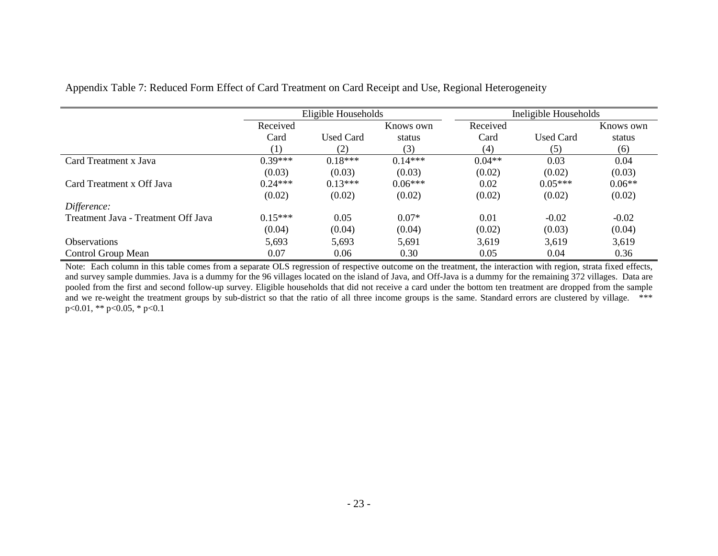|                                     |           | Eligible Households |           | Ineligible Households |                  |           |
|-------------------------------------|-----------|---------------------|-----------|-----------------------|------------------|-----------|
|                                     | Received  |                     | Knows own | Received              |                  | Knows own |
|                                     | Card      | <b>Used Card</b>    | status    | Card                  | <b>Used Card</b> | status    |
|                                     | (1)       | (2)                 | (3)       | (4)                   | (5)              | (6)       |
| Card Treatment x Java               | $0.39***$ | $0.18***$           | $0.14***$ | $0.04**$              | 0.03             | 0.04      |
|                                     | (0.03)    | (0.03)              | (0.03)    | (0.02)                | (0.02)           | (0.03)    |
| Card Treatment x Off Java           | $0.24***$ | $0.13***$           | $0.06***$ | 0.02                  | $0.05***$        | $0.06**$  |
|                                     | (0.02)    | (0.02)              | (0.02)    | (0.02)                | (0.02)           | (0.02)    |
| Difference:                         |           |                     |           |                       |                  |           |
| Treatment Java - Treatment Off Java | $0.15***$ | 0.05                | $0.07*$   | 0.01                  | $-0.02$          | $-0.02$   |
|                                     | (0.04)    | (0.04)              | (0.04)    | (0.02)                | (0.03)           | (0.04)    |
| <b>Observations</b>                 | 5,693     | 5,693               | 5,691     | 3,619                 | 3,619            | 3,619     |
| Control Group Mean                  | 0.07      | 0.06                | 0.30      | 0.05                  | 0.04             | 0.36      |

Appendix Table 7: Reduced Form Effect of Card Treatment on Card Receipt and Use, Regional Heterogeneity

Note: Each column in this table comes from a separate OLS regression of respective outcome on the treatment, the interaction with region, strata fixed effects, and survey sample dummies. Java is a dummy for the 96 villages located on the island of Java, and Off-Java is a dummy for the remaining 372 villages. Data are pooled from the first and second follow-up survey. Eligible households that did not receive a card under the bottom ten treatment are dropped from the sample and we re-weight the treatment groups by sub-district so that the ratio of all three income groups is the same. Standard errors are clustered by village. \*\*\* p<0.01, \*\* p<0.05, \* p<0.1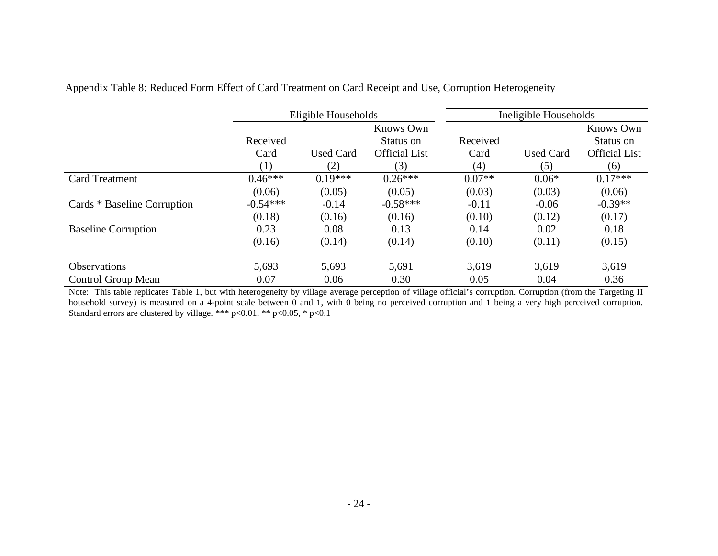|                             |            | Eligible Households |                      |          | Ineligible Households |                      |
|-----------------------------|------------|---------------------|----------------------|----------|-----------------------|----------------------|
|                             |            |                     | Knows Own            |          |                       | <b>Knows Own</b>     |
|                             | Received   |                     | Status on            | Received |                       | Status on            |
|                             | Card       | <b>Used Card</b>    | <b>Official List</b> | Card     | <b>Used Card</b>      | <b>Official List</b> |
|                             | (1)        | (2)                 | (3)                  | (4)      | (5)                   | (6)                  |
| <b>Card Treatment</b>       | $0.46***$  | $0.19***$           | $0.26***$            | $0.07**$ | $0.06*$               | $0.17***$            |
|                             | (0.06)     | (0.05)              | (0.05)               | (0.03)   | (0.03)                | (0.06)               |
| Cards * Baseline Corruption | $-0.54***$ | $-0.14$             | $-0.58***$           | $-0.11$  | $-0.06$               | $-0.39**$            |
|                             | (0.18)     | (0.16)              | (0.16)               | (0.10)   | (0.12)                | (0.17)               |
| <b>Baseline Corruption</b>  | 0.23       | 0.08                | 0.13                 | 0.14     | 0.02                  | 0.18                 |
|                             | (0.16)     | (0.14)              | (0.14)               | (0.10)   | (0.11)                | (0.15)               |
| <b>Observations</b>         | 5,693      | 5,693               | 5,691                | 3,619    | 3,619                 | 3,619                |
| Control Group Mean          | 0.07       | 0.06                | 0.30                 | 0.05     | 0.04                  | 0.36                 |

Appendix Table 8: Reduced Form Effect of Card Treatment on Card Receipt and Use, Corruption Heterogeneity

Note: This table replicates Table 1, but with heterogeneity by village average perception of village official's corruption. Corruption (from the Targeting II household survey) is measured on a 4-point scale between 0 and 1, with 0 being no perceived corruption and 1 being a very high perceived corruption. Standard errors are clustered by village. \*\*\* p<0.01, \*\* p<0.05, \* p<0.1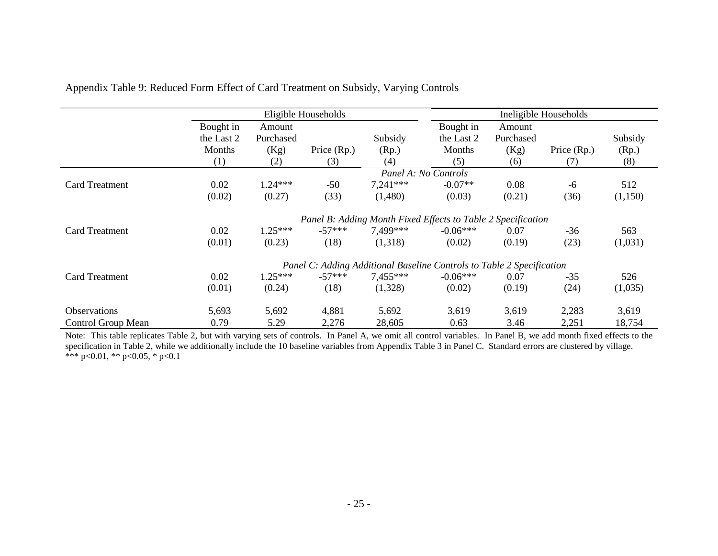|                       |            |           | Eligible Households |            |                                                                       |           | Ineligible Households |         |
|-----------------------|------------|-----------|---------------------|------------|-----------------------------------------------------------------------|-----------|-----------------------|---------|
|                       | Bought in  | Amount    |                     |            | Bought in                                                             | Amount    |                       |         |
|                       | the Last 2 | Purchased |                     | Subsidy    | the Last 2                                                            | Purchased |                       | Subsidy |
|                       | Months     | (Kg)      | Price $(Rp.)$       | (Rp.)      | Months                                                                | (Kg)      | Price $(Rp.)$         | (Rp.)   |
|                       | (1)        | (2)       | (3)                 | (4)        | (5)                                                                   | (6)       | (7)                   | (8)     |
|                       |            |           |                     |            | Panel A: No Controls                                                  |           |                       |         |
| Card Treatment        | 0.02       | $1.24***$ | $-50$               | $7,241***$ | $-0.07**$                                                             | 0.08      | -6                    | 512     |
|                       | (0.02)     | (0.27)    | (33)                | (1,480)    | (0.03)                                                                | (0.21)    | (36)                  | (1,150) |
|                       |            |           |                     |            | Panel B: Adding Month Fixed Effects to Table 2 Specification          |           |                       |         |
| <b>Card Treatment</b> | 0.02       | $1.25***$ | $-57***$            | 7.499***   | $-0.06***$                                                            | 0.07      | $-36$                 | 563     |
|                       | (0.01)     | (0.23)    | (18)                | (1,318)    | (0.02)                                                                | (0.19)    | (23)                  | (1,031) |
|                       |            |           |                     |            | Panel C: Adding Additional Baseline Controls to Table 2 Specification |           |                       |         |
| <b>Card Treatment</b> | 0.02       | $1.25***$ | $-57***$            | $7.455***$ | $-0.06***$                                                            | 0.07      | $-35$                 | 526     |
|                       | (0.01)     | (0.24)    | (18)                | (1,328)    | (0.02)                                                                | (0.19)    | (24)                  | (1,035) |
| <b>Observations</b>   | 5,693      | 5,692     | 4,881               | 5,692      | 3,619                                                                 | 3,619     | 2,283                 | 3,619   |
| Control Group Mean    | 0.79       | 5.29      | 2,276               | 28,605     | 0.63                                                                  | 3.46      | 2,251                 | 18,754  |

| Appendix Table 9: Reduced Form Effect of Card Treatment on Subsidy, Varying Controls |
|--------------------------------------------------------------------------------------|
|--------------------------------------------------------------------------------------|

Note: This table replicates Table 2, but with varying sets of controls. In Panel A, we omit all control variables. In Panel B, we add month fixed effects to the specification in Table 2, while we additionally include the 10 baseline variables from Appendix Table 3 in Panel C. Standard errors are clustered by village. \*\*\* p<0.01, \*\* p<0.05, \* p<0.1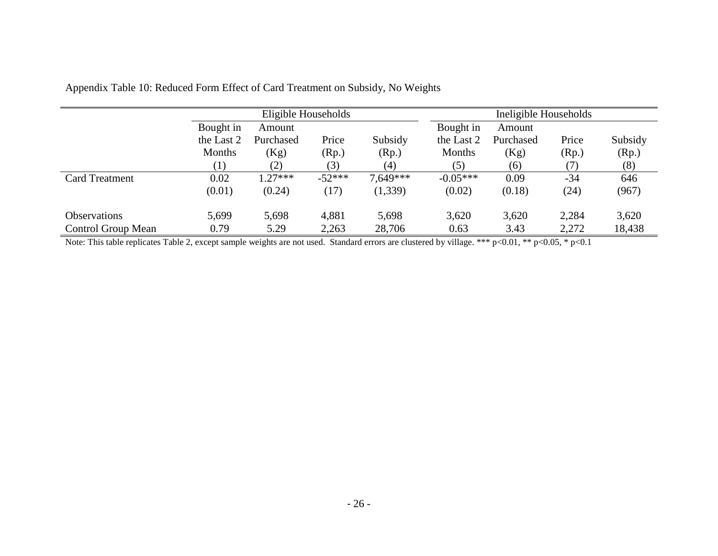|                           |                  | Eligible Households |          |            |            | Ineligible Households |       |         |  |
|---------------------------|------------------|---------------------|----------|------------|------------|-----------------------|-------|---------|--|
|                           | Bought in        | Amount              |          |            | Bought in  | Amount                |       |         |  |
|                           | the Last 2       | Purchased           | Price    | Subsidy    | the Last 2 | Purchased             | Price | Subsidy |  |
|                           | Months           | (Kg)                | (Rp.)    | (Rp.)      | Months     | (Kg)                  | (Rp.) | (Rp.)   |  |
|                           | $\left(1\right)$ | (2)                 | (3)      | (4)        | (5)        | (6)                   | 7)    | (8)     |  |
| <b>Card Treatment</b>     | 0.02             | $1.27***$           | $-52***$ | $7.649***$ | $-0.05***$ | 0.09                  | $-34$ | 646     |  |
|                           | (0.01)           | (0.24)              | (17)     | (1,339)    | (0.02)     | (0.18)                | (24)  | (967)   |  |
| <b>Observations</b>       | 5,699            | 5,698               | 4,881    | 5,698      | 3,620      | 3,620                 | 2,284 | 3,620   |  |
| <b>Control Group Mean</b> | 0.79             | 5.29                | 2,263    | 28,706     | 0.63       | 3.43                  | 2,272 | 18,438  |  |

| Appendix Table 10: Reduced Form Effect of Card Treatment on Subsidy, No Weights |
|---------------------------------------------------------------------------------|
|---------------------------------------------------------------------------------|

Note: This table replicates Table 2, except sample weights are not used. Standard errors are clustered by village. \*\*\* p<0.01, \*\* p<0.05, \* p<0.1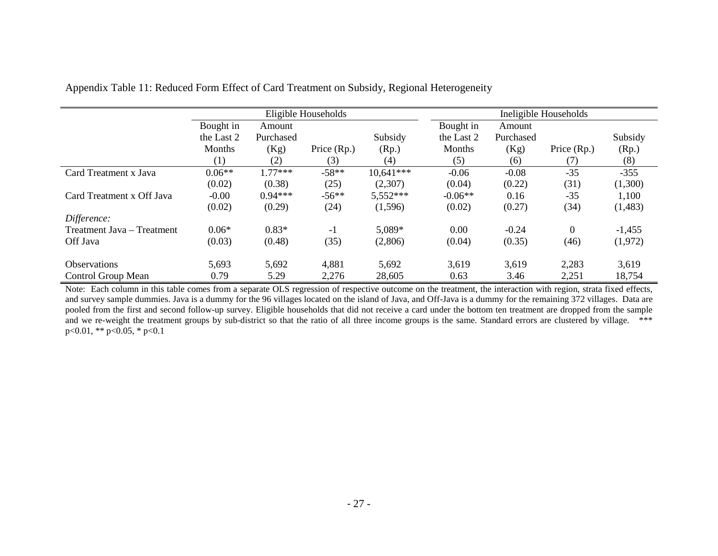|                            |            |           | Eligible Households |             |            | Ineligible Households |                |          |  |
|----------------------------|------------|-----------|---------------------|-------------|------------|-----------------------|----------------|----------|--|
|                            | Bought in  | Amount    |                     |             | Bought in  | Amount                |                |          |  |
|                            | the Last 2 | Purchased |                     | Subsidy     | the Last 2 | Purchased             |                | Subsidy  |  |
|                            | Months     | (Kg)      | Price (Rp.)         | (Rp.)       | Months     | (Kg)                  | Price (Rp.)    | (Rp.)    |  |
|                            | (1)        | (2)       | (3)                 | (4)         | (5)        | (6)                   | (7)            | (8)      |  |
| Card Treatment x Java      | $0.06**$   | $1.77***$ | $-58**$             | $10.641***$ | $-0.06$    | $-0.08$               | $-35$          | $-355$   |  |
|                            | (0.02)     | (0.38)    | (25)                | (2,307)     | (0.04)     | (0.22)                | (31)           | (1,300)  |  |
| Card Treatment x Off Java  | $-0.00$    | $0.94***$ | $-56**$             | 5,552***    | $-0.06**$  | 0.16                  | $-35$          | 1,100    |  |
|                            | (0.02)     | (0.29)    | (24)                | (1,596)     | (0.02)     | (0.27)                | (34)           | (1,483)  |  |
| Difference:                |            |           |                     |             |            |                       |                |          |  |
| Treatment Java – Treatment | $0.06*$    | $0.83*$   | $-1$                | 5,089*      | 0.00       | $-0.24$               | $\overline{0}$ | $-1,455$ |  |
| Off Java                   | (0.03)     | (0.48)    | (35)                | (2,806)     | (0.04)     | (0.35)                | (46)           | (1,972)  |  |
| <b>Observations</b>        | 5,693      | 5,692     | 4,881               | 5,692       | 3,619      | 3,619                 | 2,283          | 3,619    |  |
| Control Group Mean         | 0.79       | 5.29      | 2,276               | 28,605      | 0.63       | 3.46                  | 2,251          | 18,754   |  |

Appendix Table 11: Reduced Form Effect of Card Treatment on Subsidy, Regional Heterogeneity

Note: Each column in this table comes from a separate OLS regression of respective outcome on the treatment, the interaction with region, strata fixed effects, and survey sample dummies. Java is a dummy for the 96 villages located on the island of Java, and Off-Java is a dummy for the remaining 372 villages. Data are pooled from the first and second follow-up survey. Eligible households that did not receive a card under the bottom ten treatment are dropped from the sample and we re-weight the treatment groups by sub-district so that the ratio of all three income groups is the same. Standard errors are clustered by village. \*\*\* p<0.01, \*\* p<0.05, \* p<0.1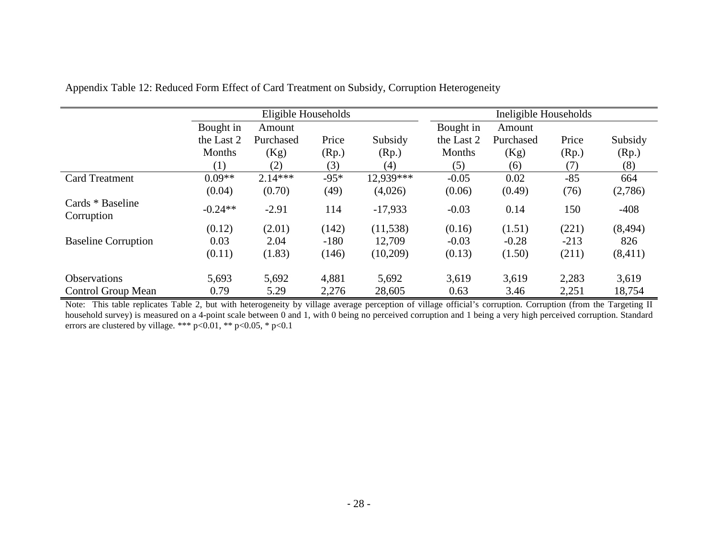|                                |               | Eligible Households |        |                   |            | Ineligible Households |        |          |  |
|--------------------------------|---------------|---------------------|--------|-------------------|------------|-----------------------|--------|----------|--|
|                                | Bought in     | Amount              |        |                   | Bought in  | Amount                |        |          |  |
|                                | the Last 2    | Purchased           | Price  | Subsidy           | the Last 2 | Purchased             | Price  | Subsidy  |  |
|                                | <b>Months</b> | (Kg)                | (Rp.)  | (Rp.)             | Months     | (Kg)                  | (Rp.)  | (Rp.)    |  |
|                                | (1)           | (2)                 | (3)    | $\left( 4\right)$ | (5)        | (6)                   | (7)    | (8)      |  |
| <b>Card Treatment</b>          | $0.09**$      | $2.14***$           | $-95*$ | 12.939***         | $-0.05$    | 0.02                  | $-85$  | 664      |  |
|                                | (0.04)        | (0.70)              | (49)   | (4,026)           | (0.06)     | (0.49)                | (76)   | (2,786)  |  |
| Cards * Baseline<br>Corruption | $-0.24**$     | $-2.91$             | 114    | $-17,933$         | $-0.03$    | 0.14                  | 150    | $-408$   |  |
|                                | (0.12)        | (2.01)              | (142)  | (11, 538)         | (0.16)     | (1.51)                | (221)  | (8, 494) |  |
| <b>Baseline Corruption</b>     | 0.03          | 2.04                | $-180$ | 12,709            | $-0.03$    | $-0.28$               | $-213$ | 826      |  |
|                                | (0.11)        | (1.83)              | (146)  | (10,209)          | (0.13)     | (1.50)                | (211)  | (8, 411) |  |
| <b>Observations</b>            | 5,693         | 5,692               | 4,881  | 5,692             | 3,619      | 3,619                 | 2,283  | 3,619    |  |
| Control Group Mean             | 0.79          | 5.29                | 2,276  | 28,605            | 0.63       | 3.46                  | 2,251  | 18,754   |  |

Appendix Table 12: Reduced Form Effect of Card Treatment on Subsidy, Corruption Heterogeneity

Note: This table replicates Table 2, but with heterogeneity by village average perception of village official's corruption. Corruption (from the Targeting II household survey) is measured on a 4-point scale between 0 and 1, with 0 being no perceived corruption and 1 being a very high perceived corruption. Standard errors are clustered by village. \*\*\* p<0.01, \*\* p<0.05, \* p<0.1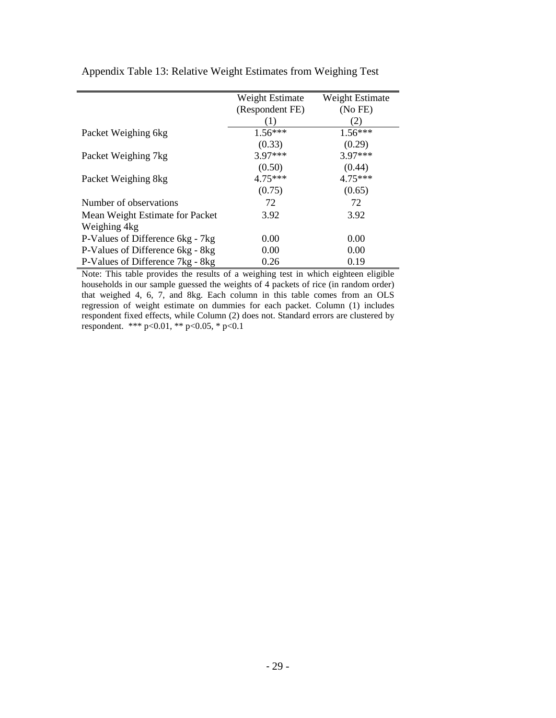|                                  | Weight Estimate | Weight Estimate |
|----------------------------------|-----------------|-----------------|
|                                  | (Respondent FE) | (No FE)         |
|                                  |                 | (2)             |
| Packet Weighing 6kg              | $1.56***$       | $1.56***$       |
|                                  | (0.33)          | (0.29)          |
| Packet Weighing 7kg              | 3.97***         | 3.97***         |
|                                  | (0.50)          | (0.44)          |
| Packet Weighing 8kg              | $4.75***$       | $4.75***$       |
|                                  | (0.75)          | (0.65)          |
| Number of observations           | 72              | 72              |
| Mean Weight Estimate for Packet  | 3.92            | 3.92            |
| Weighing 4kg                     |                 |                 |
| P-Values of Difference 6kg - 7kg | 0.00            | 0.00            |
| P-Values of Difference 6kg - 8kg | 0.00            | 0.00            |
| P-Values of Difference 7kg - 8kg | 0.26            | 0.19            |

Appendix Table 13: Relative Weight Estimates from Weighing Test

Note: This table provides the results of a weighing test in which eighteen eligible households in our sample guessed the weights of 4 packets of rice (in random order) that weighed 4, 6, 7, and 8kg. Each column in this table comes from an OLS regression of weight estimate on dummies for each packet. Column (1) includes respondent fixed effects, while Column (2) does not. Standard errors are clustered by respondent. \*\*\* p<0.01, \*\* p<0.05, \* p<0.1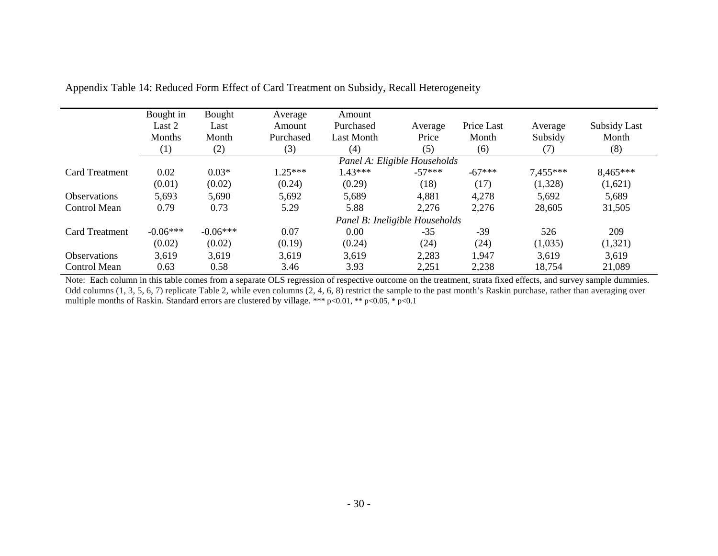|                       | Bought in  | Bought     | Average   | Amount            |                                |            |          |              |
|-----------------------|------------|------------|-----------|-------------------|--------------------------------|------------|----------|--------------|
|                       | Last 2     | Last       | Amount    | Purchased         | Average                        | Price Last | Average  | Subsidy Last |
|                       | Months     | Month      | Purchased | <b>Last Month</b> | Price                          | Month      | Subsidy  | Month        |
|                       | (1)        | (2)        | (3)       | (4)               | (5)                            | (6)        | (7)      | (8)          |
|                       |            |            |           |                   | Panel A: Eligible Households   |            |          |              |
| <b>Card Treatment</b> | 0.02       | $0.03*$    | $1.25***$ | $1.43***$         | $-57***$                       | $-67***$   | 7,455*** | 8,465***     |
|                       | (0.01)     | (0.02)     | (0.24)    | (0.29)            | (18)                           | (17)       | (1,328)  | (1,621)      |
| <b>Observations</b>   | 5,693      | 5,690      | 5,692     | 5,689             | 4,881                          | 4,278      | 5,692    | 5,689        |
| Control Mean          | 0.79       | 0.73       | 5.29      | 5.88              | 2,276                          | 2,276      | 28,605   | 31,505       |
|                       |            |            |           |                   | Panel B: Ineligible Households |            |          |              |
| <b>Card Treatment</b> | $-0.06***$ | $-0.06***$ | 0.07      | 0.00              | $-35$                          | $-39$      | 526      | 209          |
|                       | (0.02)     | (0.02)     | (0.19)    | (0.24)            | (24)                           | (24)       | (1,035)  | (1,321)      |
| <b>Observations</b>   | 3,619      | 3,619      | 3.619     | 3,619             | 2,283                          | 1,947      | 3,619    | 3,619        |
| Control Mean          | 0.63       | 0.58       | 3.46      | 3.93              | 2,251                          | 2,238      | 18,754   | 21,089       |

Appendix Table 14: Reduced Form Effect of Card Treatment on Subsidy, Recall Heterogeneity

Note: Each column in this table comes from a separate OLS regression of respective outcome on the treatment, strata fixed effects, and survey sample dummies. Odd columns (1, 3, 5, 6, 7) replicate Table 2, while even columns (2, 4, 6, 8) restrict the sample to the past month's Raskin purchase, rather than averaging over multiple months of Raskin. Standard errors are clustered by village. \*\*\* p<0.01, \*\* p<0.05, \* p<0.1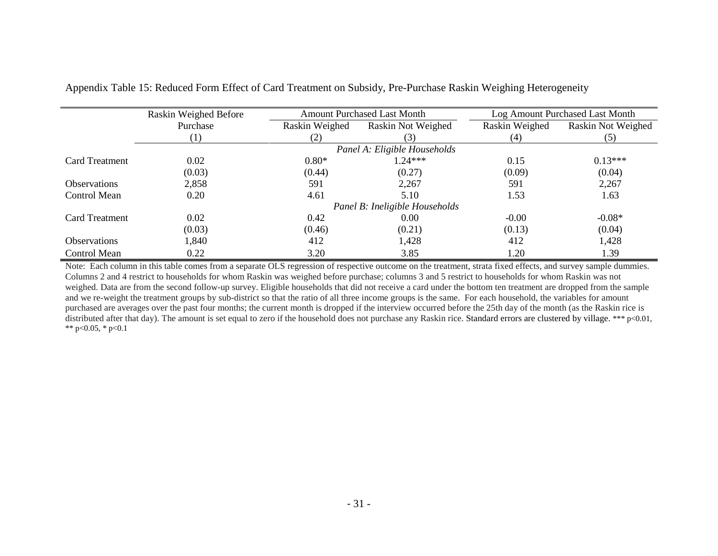|                       | Raskin Weighed Before |                | <b>Amount Purchased Last Month</b> |                | Log Amount Purchased Last Month |
|-----------------------|-----------------------|----------------|------------------------------------|----------------|---------------------------------|
|                       | Purchase              | Raskin Weighed | Raskin Not Weighed                 | Raskin Weighed | Raskin Not Weighed              |
|                       | (1)                   | (2)            | (3)                                | (4)            | (5)                             |
|                       |                       |                | Panel A: Eligible Households       |                |                                 |
| <b>Card Treatment</b> | 0.02                  | $0.80*$        | $1.24***$                          | 0.15           | $0.13***$                       |
|                       | (0.03)                | (0.44)         | (0.27)                             | (0.09)         | (0.04)                          |
| <b>Observations</b>   | 2,858                 | 591            | 2,267                              | 591            | 2,267                           |
| Control Mean          | 0.20                  | 4.61           | 5.10                               | 1.53           | 1.63                            |
|                       |                       |                | Panel B: Ineligible Households     |                |                                 |
| <b>Card Treatment</b> | 0.02                  | 0.42           | 0.00                               | $-0.00$        | $-0.08*$                        |
|                       | (0.03)                | (0.46)         | (0.21)                             | (0.13)         | (0.04)                          |
| <b>Observations</b>   | 1,840                 | 412            | 1,428                              | 412            | 1,428                           |
| Control Mean          | 0.22                  | 3.20           | 3.85                               | 1.20           | 1.39                            |

Appendix Table 15: Reduced Form Effect of Card Treatment on Subsidy, Pre-Purchase Raskin Weighing Heterogeneity

Note: Each column in this table comes from a separate OLS regression of respective outcome on the treatment, strata fixed effects, and survey sample dummies. Columns 2 and 4 restrict to households for whom Raskin was weighed before purchase; columns 3 and 5 restrict to households for whom Raskin was not weighed. Data are from the second follow-up survey. Eligible households that did not receive a card under the bottom ten treatment are dropped from the sample and we re-weight the treatment groups by sub-district so that the ratio of all three income groups is the same. For each household, the variables for amount purchased are averages over the past four months; the current month is dropped if the interview occurred before the 25th day of the month (as the Raskin rice is distributed after that day). The amount is set equal to zero if the household does not purchase any Raskin rice. Standard errors are clustered by village. \*\*\* p<0.01, \*\* p<0.05, \* p<0.1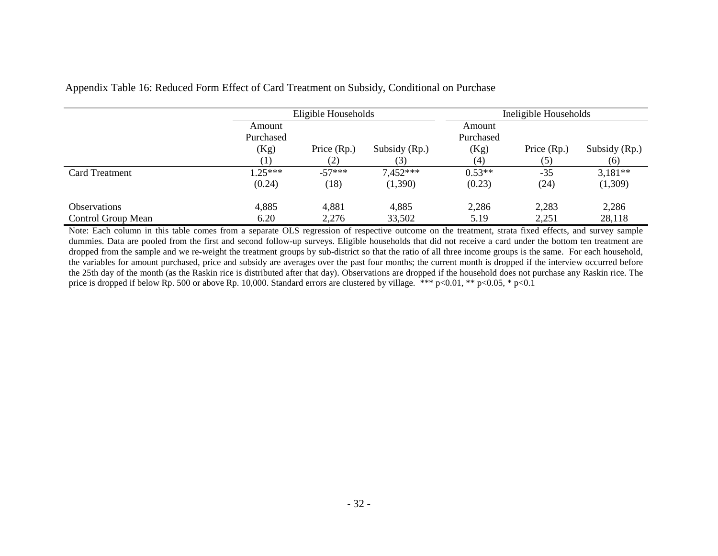|                            |           | Eligible Households |               | Ineligible Households |               |               |
|----------------------------|-----------|---------------------|---------------|-----------------------|---------------|---------------|
|                            | Amount    |                     |               | Amount                |               |               |
|                            | Purchased |                     |               | Purchased             |               |               |
|                            | (Kg)      | Price (Rp.)         | Subsidy (Rp.) | (Kg)                  | Price $(Rp.)$ | Subsidy (Rp.) |
|                            |           | (2)                 | (3)           | (4)                   | (5)           | (6)           |
| Card Treatment             | $1.25***$ | $-57***$            | $7,452***$    | $0.53**$              | $-35$         | $3,181**$     |
|                            | (0.24)    | (18)                | (1,390)       | (0.23)                | (24)          | (1,309)       |
| <i><b>Observations</b></i> | 4,885     | 4,881               | 4,885         | 2,286                 | 2,283         | 2,286         |
| Control Group Mean         | 6.20      | 2,276               | 33,502        | 5.19                  | 2,251         | 28,118        |

### Appendix Table 16: Reduced Form Effect of Card Treatment on Subsidy, Conditional on Purchase

Note: Each column in this table comes from a separate OLS regression of respective outcome on the treatment, strata fixed effects, and survey sample dummies. Data are pooled from the first and second follow-up surveys. Eligible households that did not receive a card under the bottom ten treatment are dropped from the sample and we re-weight the treatment groups by sub-district so that the ratio of all three income groups is the same. For each household, the variables for amount purchased, price and subsidy are averages over the past four months; the current month is dropped if the interview occurred before the 25th day of the month (as the Raskin rice is distributed after that day). Observations are dropped if the household does not purchase any Raskin rice. The price is dropped if below Rp. 500 or above Rp. 10,000. Standard errors are clustered by village. \*\*\* p<0.01, \*\* p<0.05, \* p<0.1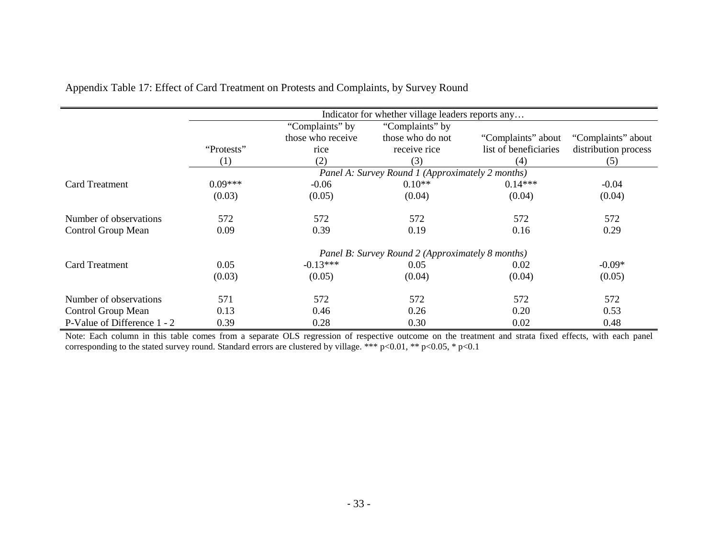|                             |            |                   | Indicator for whether village leaders reports any |                       |                      |
|-----------------------------|------------|-------------------|---------------------------------------------------|-----------------------|----------------------|
|                             |            | "Complaints" by   | "Complaints" by                                   |                       |                      |
|                             |            | those who receive | those who do not                                  | "Complaints" about    | "Complaints" about   |
|                             | "Protests" | rice              | receive rice                                      | list of beneficiaries | distribution process |
|                             | (1)        | (2)               | (3)                                               | (4)                   | (5)                  |
|                             |            |                   | Panel A: Survey Round 1 (Approximately 2 months)  |                       |                      |
| <b>Card Treatment</b>       | $0.09***$  | $-0.06$           | $0.10**$                                          | $0.14***$             | $-0.04$              |
|                             | (0.03)     | (0.05)            | (0.04)                                            | (0.04)                | (0.04)               |
| Number of observations      | 572        | 572               | 572                                               | 572                   | 572                  |
| Control Group Mean          | 0.09       | 0.39              | 0.19                                              | 0.16                  | 0.29                 |
|                             |            |                   | Panel B: Survey Round 2 (Approximately 8 months)  |                       |                      |
| <b>Card Treatment</b>       | 0.05       | $-0.13***$        | 0.05                                              | 0.02                  | $-0.09*$             |
|                             | (0.03)     | (0.05)            | (0.04)                                            | (0.04)                | (0.05)               |
| Number of observations      | 571        | 572               | 572                                               | 572                   | 572                  |
| Control Group Mean          | 0.13       | 0.46              | 0.26                                              | 0.20                  | 0.53                 |
| P-Value of Difference 1 - 2 | 0.39       | 0.28              | 0.30                                              | 0.02                  | 0.48                 |

Appendix Table 17: Effect of Card Treatment on Protests and Complaints, by Survey Round

Note: Each column in this table comes from a separate OLS regression of respective outcome on the treatment and strata fixed effects, with each panel corresponding to the stated survey round. Standard errors are clustered by village. \*\*\* p<0.01, \*\* p<0.05, \* p<0.1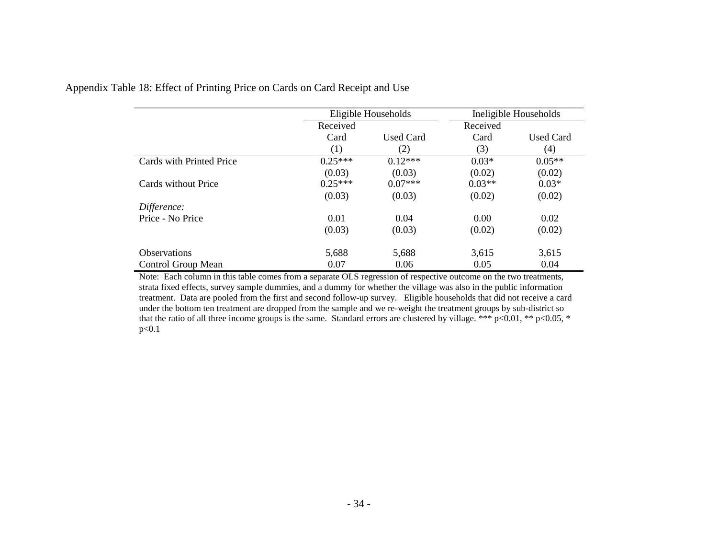|                          | Eligible Households |                  |          | Ineligible Households |
|--------------------------|---------------------|------------------|----------|-----------------------|
|                          | Received            |                  | Received |                       |
|                          | Card                | <b>Used Card</b> | Card     | <b>Used Card</b>      |
|                          | (1)                 | (2)              | (3)      | (4)                   |
| Cards with Printed Price | $0.25***$           | $0.12***$        | $0.03*$  | $0.05**$              |
|                          | (0.03)              | (0.03)           | (0.02)   | (0.02)                |
| Cards without Price      | $0.25***$           | $0.07***$        | $0.03**$ | $0.03*$               |
|                          | (0.03)              | (0.03)           | (0.02)   | (0.02)                |
| Difference:              |                     |                  |          |                       |
| Price - No Price         | 0.01                | 0.04             | 0.00     | 0.02                  |
|                          | (0.03)              | (0.03)           | (0.02)   | (0.02)                |
| <b>Observations</b>      | 5,688               | 5,688            | 3,615    | 3,615                 |
| Control Group Mean       | 0.07                | 0.06             | 0.05     | 0.04                  |

Appendix Table 18: Effect of Printing Price on Cards on Card Receipt and Use

Note: Each column in this table comes from a separate OLS regression of respective outcome on the two treatments, strata fixed effects, survey sample dummies, and a dummy for whether the village was also in the public information treatment. Data are pooled from the first and second follow-up survey. Eligible households that did not receive a card under the bottom ten treatment are dropped from the sample and we re-weight the treatment groups by sub-district so that the ratio of all three income groups is the same. Standard errors are clustered by village. \*\*\* p<0.01, \*\* p<0.05, \* p<0.1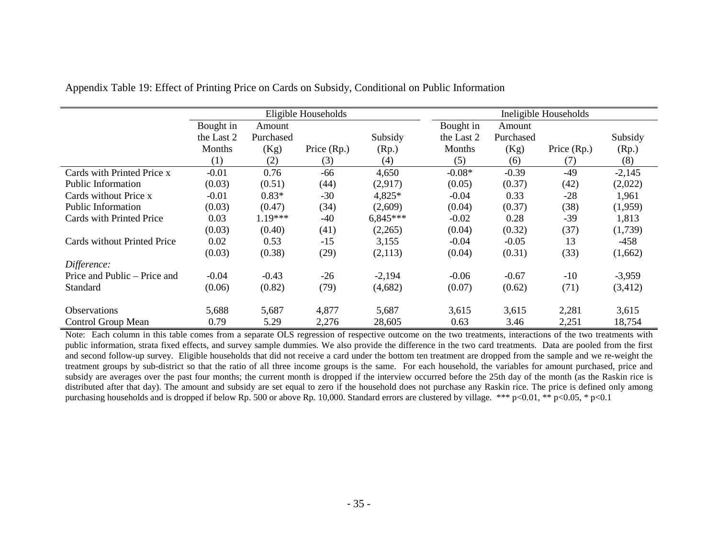|                              |            | Eligible Households |               |            |            |           | Ineligible Households |          |
|------------------------------|------------|---------------------|---------------|------------|------------|-----------|-----------------------|----------|
|                              | Bought in  | Amount              |               |            | Bought in  | Amount    |                       |          |
|                              | the Last 2 | Purchased           |               | Subsidy    | the Last 2 | Purchased |                       | Subsidy  |
|                              | Months     | (Kg)                | Price $(Rp.)$ | (Rp.)      | Months     | (Kg)      | Price $(Rp.)$         | (Rp.)    |
|                              | (1)        | (2)                 | (3)           | (4)        | (5)        | (6)       | (7)                   | (8)      |
| Cards with Printed Price x   | $-0.01$    | 0.76                | -66           | 4,650      | $-0.08*$   | $-0.39$   | $-49$                 | $-2,145$ |
| <b>Public Information</b>    | (0.03)     | (0.51)              | (44)          | (2,917)    | (0.05)     | (0.37)    | (42)                  | (2,022)  |
| Cards without Price x        | $-0.01$    | $0.83*$             | $-30$         | 4,825*     | $-0.04$    | 0.33      | $-28$                 | 1,961    |
| <b>Public Information</b>    | (0.03)     | (0.47)              | (34)          | (2,609)    | (0.04)     | (0.37)    | (38)                  | (1,959)  |
| Cards with Printed Price     | 0.03       | $1.19***$           | $-40$         | $6,845***$ | $-0.02$    | 0.28      | $-39$                 | 1,813    |
|                              | (0.03)     | (0.40)              | (41)          | (2,265)    | (0.04)     | (0.32)    | (37)                  | (1,739)  |
| Cards without Printed Price  | 0.02       | 0.53                | $-15$         | 3,155      | $-0.04$    | $-0.05$   | 13                    | $-458$   |
|                              | (0.03)     | (0.38)              | (29)          | (2,113)    | (0.04)     | (0.31)    | (33)                  | (1,662)  |
| Difference:                  |            |                     |               |            |            |           |                       |          |
| Price and Public – Price and | $-0.04$    | $-0.43$             | $-26$         | $-2,194$   | $-0.06$    | $-0.67$   | $-10$                 | $-3,959$ |
| Standard                     | (0.06)     | (0.82)              | (79)          | (4,682)    | (0.07)     | (0.62)    | (71)                  | (3,412)  |
| <b>Observations</b>          | 5,688      | 5,687               | 4,877         | 5,687      | 3,615      | 3,615     | 2,281                 | 3,615    |
| Control Group Mean           | 0.79       | 5.29                | 2,276         | 28,605     | 0.63       | 3.46      | 2,251                 | 18,754   |

Appendix Table 19: Effect of Printing Price on Cards on Subsidy, Conditional on Public Information

Note: Each column in this table comes from a separate OLS regression of respective outcome on the two treatments, interactions of the two treatments with public information, strata fixed effects, and survey sample dummies. We also provide the difference in the two card treatments. Data are pooled from the first and second follow-up survey. Eligible households that did not receive a card under the bottom ten treatment are dropped from the sample and we re-weight the treatment groups by sub-district so that the ratio of all three income groups is the same. For each household, the variables for amount purchased, price and subsidy are averages over the past four months; the current month is dropped if the interview occurred before the 25th day of the month (as the Raskin rice is distributed after that day). The amount and subsidy are set equal to zero if the household does not purchase any Raskin rice. The price is defined only among purchasing households and is dropped if below Rp. 500 or above Rp. 10,000. Standard errors are clustered by village. \*\*\* p<0.01, \*\* p<0.05, \* p<0.1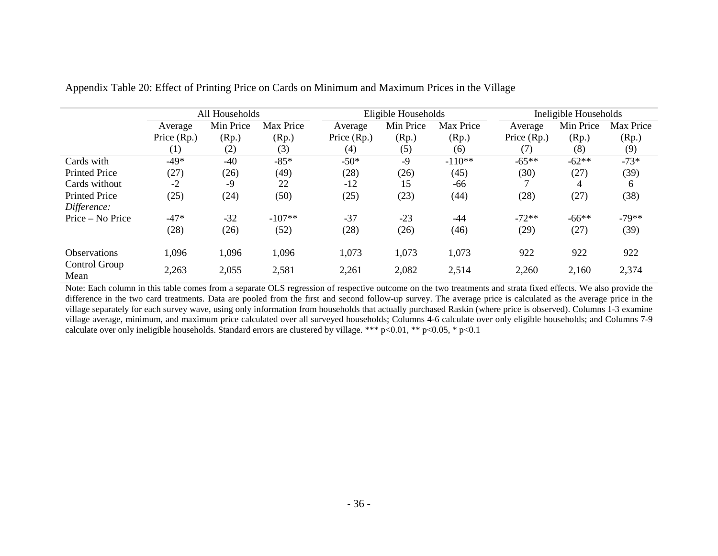|                       | All Households |           |           | Eligible Households |           |           | Ineligible Households |           |           |
|-----------------------|----------------|-----------|-----------|---------------------|-----------|-----------|-----------------------|-----------|-----------|
|                       | Average        | Min Price | Max Price | Average             | Min Price | Max Price | Average               | Min Price | Max Price |
|                       | Price (Rp.)    | (Rp.)     | (Rp.)     | Price (Rp.)         | (Rp.)     | (Rp.)     | Price (Rp.)           | (Rp.)     | (Rp.)     |
|                       | (1)            | (2)       | (3)       | (4)                 | (5)       | (6)       | (7)                   | (8)       | (9)       |
| Cards with            | $-49*$         | $-40$     | $-85*$    | $-50*$              | $-9$      | $-110**$  | $-65**$               | $-62**$   | $-73*$    |
| <b>Printed Price</b>  | (27)           | (26)      | (49)      | (28)                | (26)      | (45)      | (30)                  | (27)      | (39)      |
| Cards without         | $-2$           | -9        | 22        | $-12$               | 15        | -66       |                       | 4         | 6         |
| <b>Printed Price</b>  | (25)           | (24)      | (50)      | (25)                | (23)      | (44)      | (28)                  | (27)      | (38)      |
| Difference:           |                |           |           |                     |           |           |                       |           |           |
| Price – No Price      | $-47*$         | $-32$     | $-107**$  | $-37$               | $-23$     | $-44$     | $-72**$               | $-66**$   | $-79**$   |
|                       | (28)           | (26)      | (52)      | (28)                | (26)      | (46)      | (29)                  | (27)      | (39)      |
| <b>Observations</b>   | 1,096          | 1,096     | 1,096     | 1,073               | 1,073     | 1,073     | 922                   | 922       | 922       |
| Control Group<br>Mean | 2,263          | 2,055     | 2,581     | 2,261               | 2,082     | 2,514     | 2,260                 | 2,160     | 2,374     |

Appendix Table 20: Effect of Printing Price on Cards on Minimum and Maximum Prices in the Village

Note: Each column in this table comes from a separate OLS regression of respective outcome on the two treatments and strata fixed effects. We also provide the difference in the two card treatments. Data are pooled from the first and second follow-up survey. The average price is calculated as the average price in the village separately for each survey wave, using only information from households that actually purchased Raskin (where price is observed). Columns 1-3 examine village average, minimum, and maximum price calculated over all surveyed households; Columns 4-6 calculate over only eligible households; and Columns 7-9 calculate over only ineligible households. Standard errors are clustered by village. \*\*\* p<0.01, \*\* p<0.05, \* p<0.1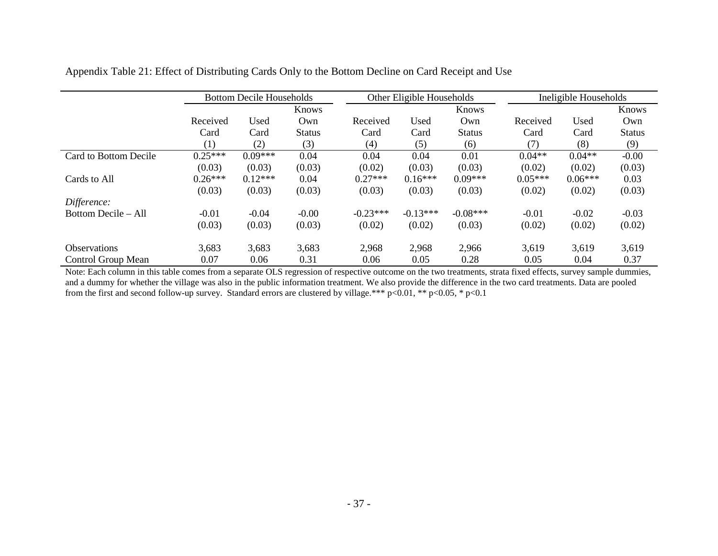|                       |           | <b>Bottom Decile Households</b> |               |            | Other Eligible Households |               |           | Ineligible Households |               |  |
|-----------------------|-----------|---------------------------------|---------------|------------|---------------------------|---------------|-----------|-----------------------|---------------|--|
|                       |           | Knows                           |               | Knows      |                           |               |           | Knows                 |               |  |
|                       | Received  | Used                            | Own           | Received   | Used                      | Own           | Received  | Used                  | Own           |  |
|                       | Card      | Card                            | <b>Status</b> | Card       | Card                      | <b>Status</b> | Card      | Card                  | <b>Status</b> |  |
|                       | (1)       | (2)                             | (3)           | (4)        | (5)                       | (6)           | (7)       | (8)                   | (9)           |  |
| Card to Bottom Decile | $0.25***$ | $0.09***$                       | 0.04          | 0.04       | 0.04                      | 0.01          | $0.04**$  | $0.04**$              | $-0.00$       |  |
|                       | (0.03)    | (0.03)                          | (0.03)        | (0.02)     | (0.03)                    | (0.03)        | (0.02)    | (0.02)                | (0.03)        |  |
| Cards to All          | $0.26***$ | $0.12***$                       | 0.04          | $0.27***$  | $0.16***$                 | $0.09***$     | $0.05***$ | $0.06***$             | 0.03          |  |
|                       | (0.03)    | (0.03)                          | (0.03)        | (0.03)     | (0.03)                    | (0.03)        | (0.02)    | (0.02)                | (0.03)        |  |
| Difference:           |           |                                 |               |            |                           |               |           |                       |               |  |
| Bottom Decile – All   | $-0.01$   | $-0.04$                         | $-0.00$       | $-0.23***$ | $-0.13***$                | $-0.08***$    | $-0.01$   | $-0.02$               | $-0.03$       |  |
|                       | (0.03)    | (0.03)                          | (0.03)        | (0.02)     | (0.02)                    | (0.03)        | (0.02)    | (0.02)                | (0.02)        |  |
| <b>Observations</b>   | 3,683     | 3,683                           | 3,683         | 2,968      | 2,968                     | 2,966         | 3,619     | 3,619                 | 3,619         |  |
| Control Group Mean    | 0.07      | 0.06                            | 0.31          | 0.06       | 0.05                      | 0.28          | 0.05      | 0.04                  | 0.37          |  |

Appendix Table 21: Effect of Distributing Cards Only to the Bottom Decline on Card Receipt and Use

Note: Each column in this table comes from a separate OLS regression of respective outcome on the two treatments, strata fixed effects, survey sample dummies, and a dummy for whether the village was also in the public information treatment. We also provide the difference in the two card treatments. Data are pooled from the first and second follow-up survey. Standard errors are clustered by village.\*\*\* p<0.01, \*\* p<0.05, \* p<0.1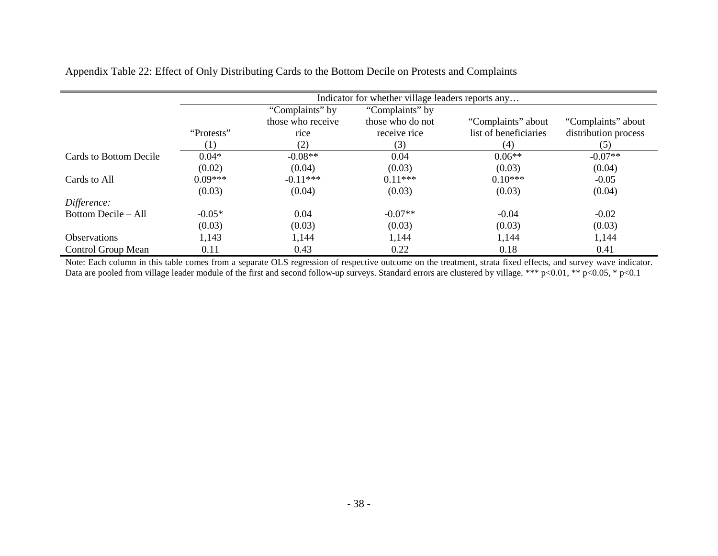Appendix Table 22: Effect of Only Distributing Cards to the Bottom Decile on Protests and Complaints

|                        |                  |                   | Indicator for whether village leaders reports any |                       |                      |
|------------------------|------------------|-------------------|---------------------------------------------------|-----------------------|----------------------|
|                        |                  | "Complaints" by   | "Complaints" by                                   |                       |                      |
|                        |                  | those who receive | those who do not                                  | "Complaints" about    | "Complaints" about   |
|                        | "Protests"       | rice              | receive rice                                      | list of beneficiaries | distribution process |
|                        | $\left(1\right)$ | (2)               | (3)                                               | (4)                   | (5)                  |
| Cards to Bottom Decile | $0.04*$          | $-0.08**$         | 0.04                                              | $0.06**$              | $-0.07**$            |
|                        | (0.02)           | (0.04)            | (0.03)                                            | (0.03)                | (0.04)               |
| Cards to All           | $0.09***$        | $-0.11***$        | $0.11***$                                         | $0.10***$             | $-0.05$              |
|                        | (0.03)           | (0.04)            | (0.03)                                            | (0.03)                | (0.04)               |
| Difference:            |                  |                   |                                                   |                       |                      |
| Bottom Decile – All    | $-0.05*$         | 0.04              | $-0.07**$                                         | $-0.04$               | $-0.02$              |
|                        | (0.03)           | (0.03)            | (0.03)                                            | (0.03)                | (0.03)               |
| <b>Observations</b>    | 1,143            | 1,144             | 1,144                                             | 1,144                 | 1,144                |
| Control Group Mean     | 0.11             | 0.43              | 0.22                                              | 0.18                  | 0.41                 |

Note: Each column in this table comes from a separate OLS regression of respective outcome on the treatment, strata fixed effects, and survey wave indicator. Data are pooled from village leader module of the first and second follow-up surveys. Standard errors are clustered by village. \*\*\* p<0.01, \*\* p<0.05, \* p<0.1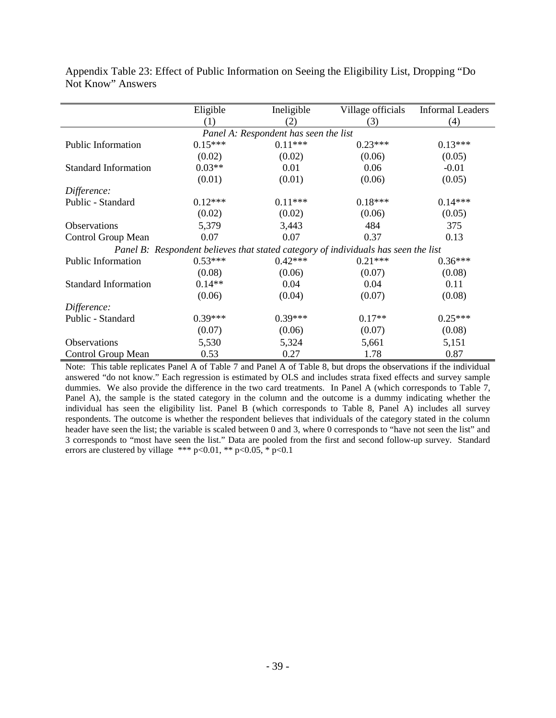|                             | Eligible  | Ineligible                            | Village officials                                                                  | <b>Informal Leaders</b> |
|-----------------------------|-----------|---------------------------------------|------------------------------------------------------------------------------------|-------------------------|
|                             | (1)       | (2)                                   | (3)                                                                                | (4)                     |
|                             |           | Panel A: Respondent has seen the list |                                                                                    |                         |
| <b>Public Information</b>   | $0.15***$ | $0.11***$                             | $0.23***$                                                                          | $0.13***$               |
|                             | (0.02)    | (0.02)                                | (0.06)                                                                             | (0.05)                  |
| <b>Standard Information</b> | $0.03**$  | 0.01                                  | 0.06                                                                               | $-0.01$                 |
|                             | (0.01)    | (0.01)                                | (0.06)                                                                             | (0.05)                  |
| Difference:                 |           |                                       |                                                                                    |                         |
| Public - Standard           | $0.12***$ | $0.11***$                             | $0.18***$                                                                          | $0.14***$               |
|                             | (0.02)    | (0.02)                                | (0.06)                                                                             | (0.05)                  |
| <b>Observations</b>         | 5,379     | 3,443                                 | 484                                                                                | 375                     |
| Control Group Mean          | 0.07      | 0.07                                  | 0.37                                                                               | 0.13                    |
|                             |           |                                       | Panel B: Respondent believes that stated category of individuals has seen the list |                         |
| <b>Public Information</b>   | $0.53***$ | $0.42***$                             | $0.21***$                                                                          | $0.36***$               |
|                             | (0.08)    | (0.06)                                | (0.07)                                                                             | (0.08)                  |
| <b>Standard Information</b> | $0.14**$  | 0.04                                  | 0.04                                                                               | 0.11                    |
|                             | (0.06)    | (0.04)                                | (0.07)                                                                             | (0.08)                  |
| Difference:                 |           |                                       |                                                                                    |                         |
| Public - Standard           | $0.39***$ | $0.39***$                             | $0.17**$                                                                           | $0.25***$               |
|                             | (0.07)    | (0.06)                                | (0.07)                                                                             | (0.08)                  |
| <b>Observations</b>         | 5,530     | 5,324                                 | 5,661                                                                              | 5,151                   |
| Control Group Mean          | 0.53      | 0.27                                  | 1.78                                                                               | 0.87                    |

Appendix Table 23: Effect of Public Information on Seeing the Eligibility List, Dropping "Do Not Know" Answers

Note: This table replicates Panel A of Table 7 and Panel A of Table 8, but drops the observations if the individual answered "do not know." Each regression is estimated by OLS and includes strata fixed effects and survey sample dummies. We also provide the difference in the two card treatments. In Panel A (which corresponds to Table 7, Panel A), the sample is the stated category in the column and the outcome is a dummy indicating whether the individual has seen the eligibility list. Panel B (which corresponds to Table 8, Panel A) includes all survey respondents. The outcome is whether the respondent believes that individuals of the category stated in the column header have seen the list; the variable is scaled between 0 and 3, where 0 corresponds to "have not seen the list" and 3 corresponds to "most have seen the list." Data are pooled from the first and second follow-up survey. Standard errors are clustered by village \*\*\* p<0.01, \*\* p<0.05, \* p<0.1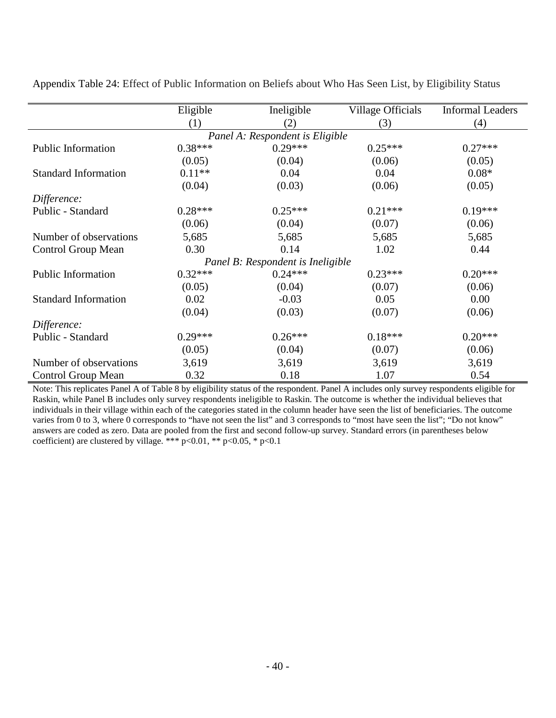|                             | Eligible  | Ineligible                        | Village Officials | <b>Informal Leaders</b> |
|-----------------------------|-----------|-----------------------------------|-------------------|-------------------------|
|                             | (1)       | (2)                               | (3)               | (4)                     |
|                             |           | Panel A: Respondent is Eligible   |                   |                         |
| <b>Public Information</b>   | $0.38***$ | $0.29***$                         | $0.25***$         | $0.27***$               |
|                             | (0.05)    | (0.04)                            | (0.06)            | (0.05)                  |
| <b>Standard Information</b> | $0.11**$  | 0.04                              | 0.04              | $0.08*$                 |
|                             | (0.04)    | (0.03)                            | (0.06)            | (0.05)                  |
| Difference:                 |           |                                   |                   |                         |
| Public - Standard           | $0.28***$ | $0.25***$                         | $0.21***$         | $0.19***$               |
|                             | (0.06)    | (0.04)                            | (0.07)            | (0.06)                  |
| Number of observations      | 5,685     | 5,685                             | 5,685             | 5,685                   |
| <b>Control Group Mean</b>   | 0.30      | 0.14                              | 1.02              | 0.44                    |
|                             |           | Panel B: Respondent is Ineligible |                   |                         |
| <b>Public Information</b>   | $0.32***$ | $0.24***$                         | $0.23***$         | $0.20***$               |
|                             | (0.05)    | (0.04)                            | (0.07)            | (0.06)                  |
| <b>Standard Information</b> | 0.02      | $-0.03$                           | 0.05              | 0.00                    |
|                             | (0.04)    | (0.03)                            | (0.07)            | (0.06)                  |
| Difference:                 |           |                                   |                   |                         |
| Public - Standard           | $0.29***$ | $0.26***$                         | $0.18***$         | $0.20***$               |
|                             | (0.05)    | (0.04)                            | (0.07)            | (0.06)                  |
| Number of observations      | 3,619     | 3,619                             | 3,619             | 3,619                   |
| <b>Control Group Mean</b>   | 0.32      | 0.18                              | 1.07              | 0.54                    |

Appendix Table 24: Effect of Public Information on Beliefs about Who Has Seen List, by Eligibility Status

Note: This replicates Panel A of Table 8 by eligibility status of the respondent. Panel A includes only survey respondents eligible for Raskin, while Panel B includes only survey respondents ineligible to Raskin. The outcome is whether the individual believes that individuals in their village within each of the categories stated in the column header have seen the list of beneficiaries. The outcome varies from 0 to 3, where 0 corresponds to "have not seen the list" and 3 corresponds to "most have seen the list"; "Do not know" answers are coded as zero. Data are pooled from the first and second follow-up survey. Standard errors (in parentheses below coefficient) are clustered by village. \*\*\* p<0.01, \*\* p<0.05, \* p<0.1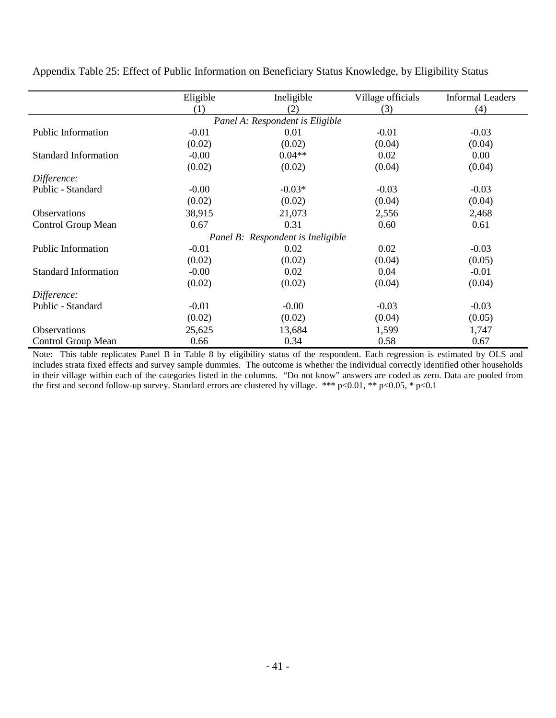|                             | Eligible | Ineligible                        | Village officials | <b>Informal Leaders</b> |
|-----------------------------|----------|-----------------------------------|-------------------|-------------------------|
|                             | (1)      | (2)                               | (3)               | (4)                     |
|                             |          | Panel A: Respondent is Eligible   |                   |                         |
| Public Information          | $-0.01$  | 0.01                              | $-0.01$           | $-0.03$                 |
|                             | (0.02)   | (0.02)                            | (0.04)            | (0.04)                  |
| <b>Standard Information</b> | $-0.00$  | $0.04**$                          | 0.02              | 0.00                    |
|                             | (0.02)   | (0.02)                            | (0.04)            | (0.04)                  |
| Difference:                 |          |                                   |                   |                         |
| Public - Standard           | $-0.00$  | $-0.03*$                          | $-0.03$           | $-0.03$                 |
|                             | (0.02)   | (0.02)                            | (0.04)            | (0.04)                  |
| <b>Observations</b>         | 38,915   | 21,073                            | 2,556             | 2,468                   |
| Control Group Mean          | 0.67     | 0.31                              | 0.60              | 0.61                    |
|                             |          | Panel B: Respondent is Ineligible |                   |                         |
| <b>Public Information</b>   | $-0.01$  | 0.02                              | 0.02              | $-0.03$                 |
|                             | (0.02)   | (0.02)                            | (0.04)            | (0.05)                  |
| <b>Standard Information</b> | $-0.00$  | 0.02                              | 0.04              | $-0.01$                 |
|                             | (0.02)   | (0.02)                            | (0.04)            | (0.04)                  |
| Difference:                 |          |                                   |                   |                         |
| Public - Standard           | $-0.01$  | $-0.00$                           | $-0.03$           | $-0.03$                 |
|                             | (0.02)   | (0.02)                            | (0.04)            | (0.05)                  |
| Observations                | 25,625   | 13,684                            | 1,599             | 1,747                   |
| <b>Control Group Mean</b>   | 0.66     | 0.34                              | 0.58              | 0.67                    |

Appendix Table 25: Effect of Public Information on Beneficiary Status Knowledge, by Eligibility Status

Note: This table replicates Panel B in Table 8 by eligibility status of the respondent. Each regression is estimated by OLS and includes strata fixed effects and survey sample dummies. The outcome is whether the individual correctly identified other households in their village within each of the categories listed in the columns. "Do not know" answers are coded as zero. Data are pooled from the first and second follow-up survey. Standard errors are clustered by village. \*\*\* p<0.01, \*\* p<0.05, \* p<0.1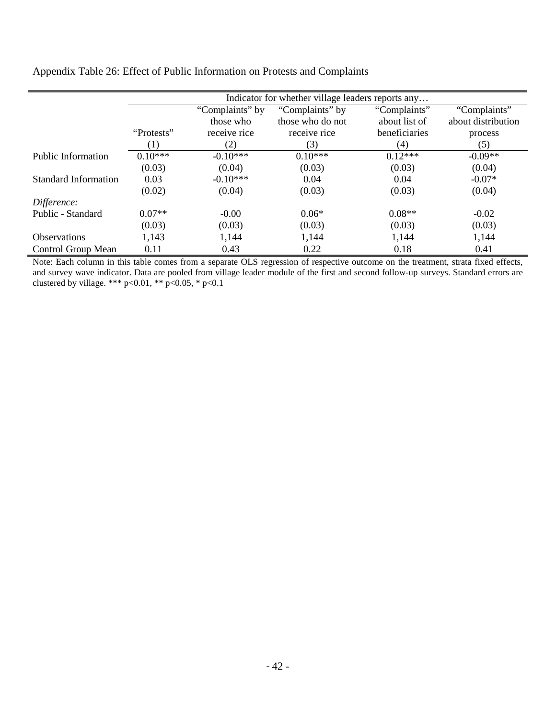| Appendix Table 26: Effect of Public Information on Protests and Complaints |  |
|----------------------------------------------------------------------------|--|
|                                                                            |  |

 $\overline{a}$ 

|                      | Indicator for whether village leaders reports any |                 |                  |               |                    |  |  |
|----------------------|---------------------------------------------------|-----------------|------------------|---------------|--------------------|--|--|
|                      |                                                   | "Complaints" by | "Complaints" by  | "Complaints"  | "Complaints"       |  |  |
|                      |                                                   | those who       | those who do not | about list of | about distribution |  |  |
|                      | "Protests"                                        | receive rice    | receive rice     | beneficiaries | process            |  |  |
|                      | $\left(1\right)$                                  | (2)             | (3)              | (4)           | (5)                |  |  |
| Public Information   | $0.10***$                                         | $-0.10***$      | $0.10***$        | $0.12***$     | $-0.09**$          |  |  |
|                      | (0.03)                                            | (0.04)          | (0.03)           | (0.03)        | (0.04)             |  |  |
| Standard Information | 0.03                                              | $-0.10***$      | 0.04             | 0.04          | $-0.07*$           |  |  |
|                      | (0.02)                                            | (0.04)          | (0.03)           | (0.03)        | (0.04)             |  |  |
| Difference:          |                                                   |                 |                  |               |                    |  |  |
| Public - Standard    | $0.07**$                                          | $-0.00$         | $0.06*$          | $0.08**$      | $-0.02$            |  |  |
|                      | (0.03)                                            | (0.03)          | (0.03)           | (0.03)        | (0.03)             |  |  |
| <b>Observations</b>  | 1,143                                             | 1,144           | 1,144            | 1,144         | 1,144              |  |  |
| Control Group Mean   | 0.11                                              | 0.43            | 0.22             | 0.18          | 0.41               |  |  |

Note: Each column in this table comes from a separate OLS regression of respective outcome on the treatment, strata fixed effects, and survey wave indicator. Data are pooled from village leader module of the first and second follow-up surveys. Standard errors are clustered by village. \*\*\*  $p<0.01$ , \*\*  $p<0.05$ , \*  $p<0.1$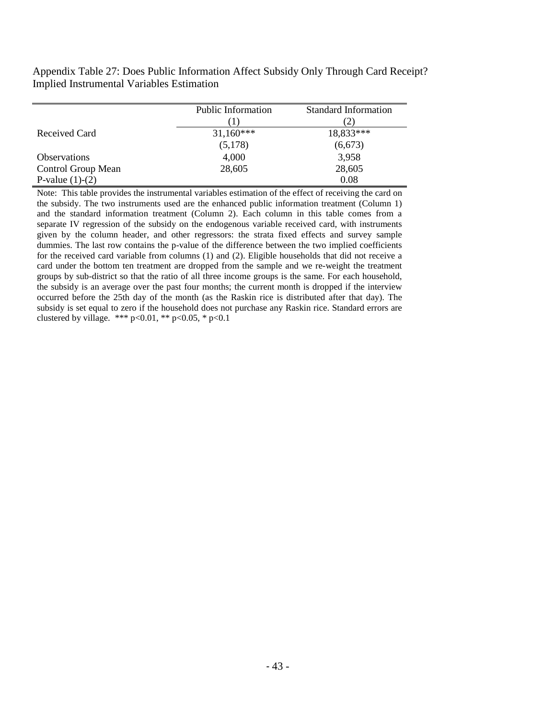Appendix Table 27: Does Public Information Affect Subsidy Only Through Card Receipt? Implied Instrumental Variables Estimation

|                     | <b>Public Information</b> | <b>Standard Information</b> |
|---------------------|---------------------------|-----------------------------|
|                     |                           |                             |
| Received Card       | $31,160***$               | 18,833***                   |
|                     | (5,178)                   | (6, 673)                    |
| <b>Observations</b> | 4,000                     | 3,958                       |
| Control Group Mean  | 28,605                    | 28,605                      |
| P-value $(1)-(2)$   |                           | 0.08                        |

Note: This table provides the instrumental variables estimation of the effect of receiving the card on the subsidy. The two instruments used are the enhanced public information treatment (Column 1) and the standard information treatment (Column 2). Each column in this table comes from a separate IV regression of the subsidy on the endogenous variable received card, with instruments given by the column header, and other regressors: the strata fixed effects and survey sample dummies. The last row contains the p-value of the difference between the two implied coefficients for the received card variable from columns (1) and (2). Eligible households that did not receive a card under the bottom ten treatment are dropped from the sample and we re-weight the treatment groups by sub-district so that the ratio of all three income groups is the same. For each household, the subsidy is an average over the past four months; the current month is dropped if the interview occurred before the 25th day of the month (as the Raskin rice is distributed after that day). The subsidy is set equal to zero if the household does not purchase any Raskin rice. Standard errors are clustered by village. \*\*\* p<0.01, \*\* p<0.05, \* p<0.1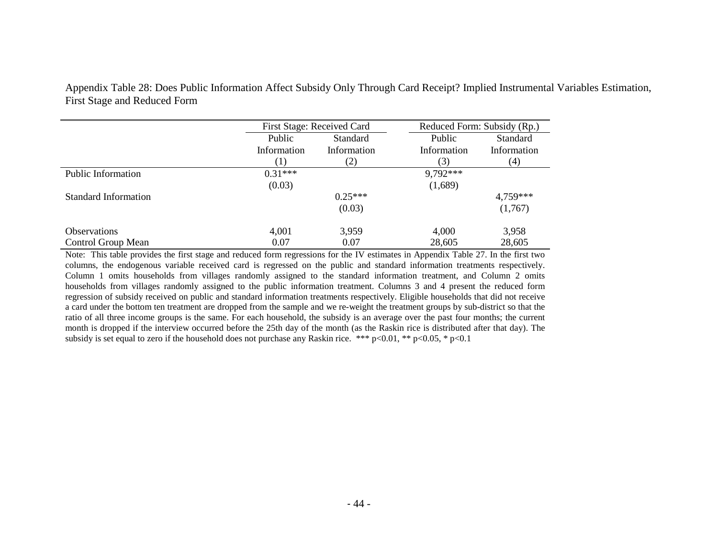Appendix Table 28: Does Public Information Affect Subsidy Only Through Card Receipt? Implied Instrumental Variables Estimation, First Stage and Reduced Form

|                             | First Stage: Received Card |             | Reduced Form: Subsidy (Rp.) |                 |
|-----------------------------|----------------------------|-------------|-----------------------------|-----------------|
|                             | Public                     | Standard    | Public                      | <b>Standard</b> |
|                             | Information                | Information | Information                 | Information     |
|                             |                            | (2)         | (3)                         | (4)             |
| Public Information          | $0.31***$                  |             | 9,792***                    |                 |
|                             | (0.03)                     |             | (1,689)                     |                 |
| <b>Standard Information</b> |                            | $0.25***$   |                             | 4,759***        |
|                             |                            | (0.03)      |                             | (1,767)         |
| <b>Observations</b>         | 4,001                      | 3,959       | 4,000                       | 3,958           |
| Control Group Mean          | 0.07                       | 0.07        | 28,605                      | 28,605          |

Note: This table provides the first stage and reduced form regressions for the IV estimates in Appendix Table 27. In the first two columns, the endogenous variable received card is regressed on the public and standard information treatments respectively. Column 1 omits households from villages randomly assigned to the standard information treatment, and Column 2 omits households from villages randomly assigned to the public information treatment. Columns 3 and 4 present the reduced form regression of subsidy received on public and standard information treatments respectively. Eligible households that did not receive a card under the bottom ten treatment are dropped from the sample and we re-weight the treatment groups by sub-district so that the ratio of all three income groups is the same. For each household, the subsidy is an average over the past four months; the current month is dropped if the interview occurred before the 25th day of the month (as the Raskin rice is distributed after that day). The subsidy is set equal to zero if the household does not purchase any Raskin rice. \*\*\* p<0.01, \*\* p<0.05, \* p<0.1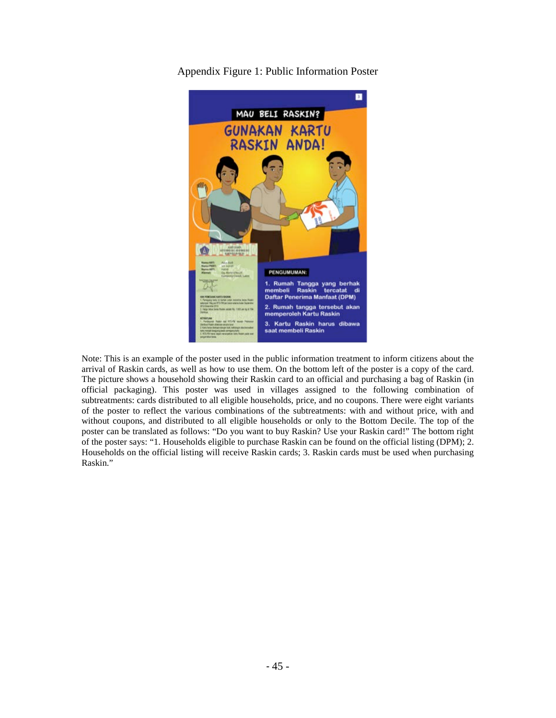

Appendix Figure 1: Public Information Poster

Note: This is an example of the poster used in the public information treatment to inform citizens about the arrival of Raskin cards, as well as how to use them. On the bottom left of the poster is a copy of the card. The picture shows a household showing their Raskin card to an official and purchasing a bag of Raskin (in official packaging). This poster was used in villages assigned to the following combination of subtreatments: cards distributed to all eligible households, price, and no coupons. There were eight variants of the poster to reflect the various combinations of the subtreatments: with and without price, with and without coupons, and distributed to all eligible households or only to the Bottom Decile. The top of the poster can be translated as follows: "Do you want to buy Raskin? Use your Raskin card!" The bottom right of the poster says: "1. Households eligible to purchase Raskin can be found on the official listing (DPM); 2. Households on the official listing will receive Raskin cards; 3. Raskin cards must be used when purchasing Raskin."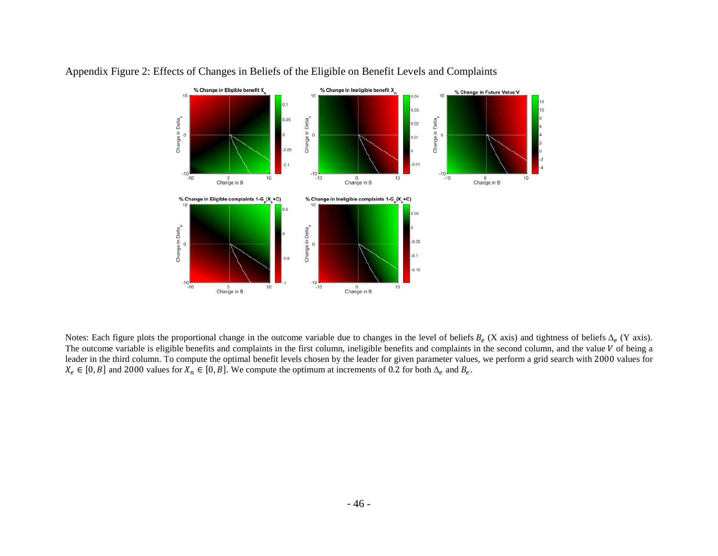

## Appendix Figure 2: Effects of Changes in Beliefs of the Eligible on Benefit Levels and Complaints

Notes: Each figure plots the proportional change in the outcome variable due to changes in the level of beliefs  $B_e$  (X axis) and tightness of beliefs  $\Delta_e$  (Y axis). The outcome variable is eligible benefits and complaints in the first column, ineligible benefits and complaints in the second column, and the value  $V$  of being a leader in the third column. To compute the optimal benefit levels chosen by the leader for given parameter values, we perform a grid search with 2000 values for  $X_e \in [0, B]$  and 2000 values for  $X_n \in [0, B]$ . We compute the optimum at increments of 0.2 for both  $\Delta_e$  and  $B_e$ .